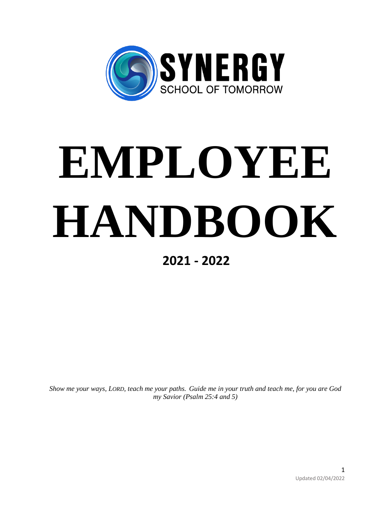

# **EMPLOYEE HANDBOOK**

# **2021 - 2022**

*Show me your ways, LORD, teach me your paths. Guide me in your truth and teach me, for you are God my Savior (Psalm 25:4 and 5)*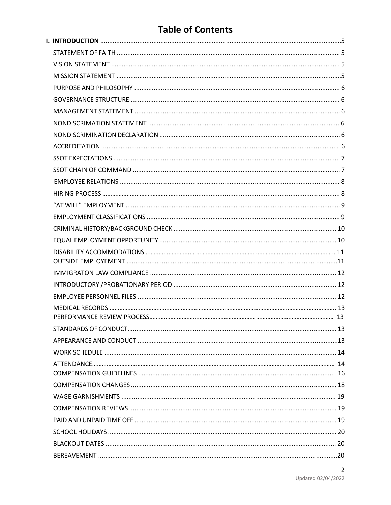# **Table of Contents**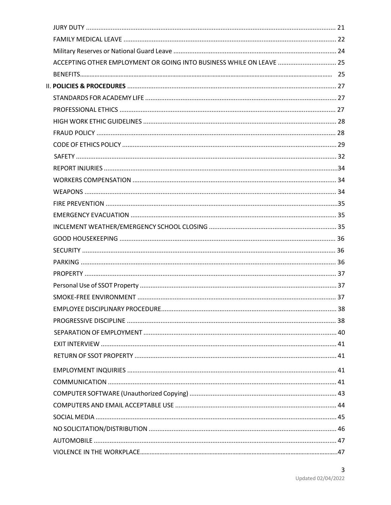| ACCEPTING OTHER EMPLOYMENT OR GOING INTO BUSINESS WHILE ON LEAVE  25 |  |
|----------------------------------------------------------------------|--|
|                                                                      |  |
|                                                                      |  |
|                                                                      |  |
|                                                                      |  |
|                                                                      |  |
|                                                                      |  |
|                                                                      |  |
|                                                                      |  |
|                                                                      |  |
|                                                                      |  |
|                                                                      |  |
|                                                                      |  |
|                                                                      |  |
|                                                                      |  |
|                                                                      |  |
|                                                                      |  |
|                                                                      |  |
|                                                                      |  |
|                                                                      |  |
|                                                                      |  |
|                                                                      |  |
|                                                                      |  |
|                                                                      |  |
|                                                                      |  |
|                                                                      |  |
|                                                                      |  |
|                                                                      |  |
|                                                                      |  |
|                                                                      |  |
|                                                                      |  |
|                                                                      |  |
|                                                                      |  |
|                                                                      |  |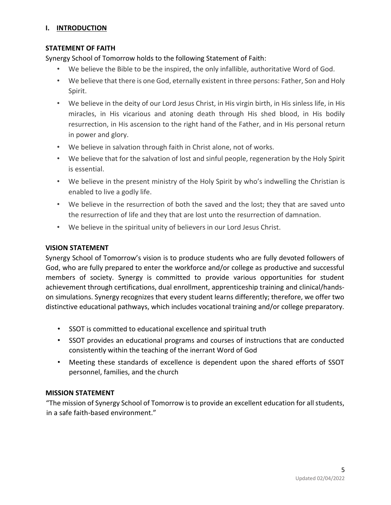# **I. INTRODUCTION**

#### **STATEMENT OF FAITH**

Synergy School of Tomorrow holds to the following Statement of Faith:

- We believe the Bible to be the inspired, the only infallible, authoritative Word of God.
- We believe that there is one God, eternally existent in three persons: Father, Son and Holy Spirit.
- We believe in the deity of our Lord Jesus Christ, in His virgin birth, in His sinless life, in His miracles, in His vicarious and atoning death through His shed blood, in His bodily resurrection, in His ascension to the right hand of the Father, and in His personal return in power and glory.
- We believe in salvation through faith in Christ alone, not of works.
- We believe that for the salvation of lost and sinful people, regeneration by the Holy Spirit is essential.
- We believe in the present ministry of the Holy Spirit by who's indwelling the Christian is enabled to live a godly life.
- We believe in the resurrection of both the saved and the lost; they that are saved unto the resurrection of life and they that are lost unto the resurrection of damnation.
- We believe in the spiritual unity of believers in our Lord Jesus Christ.

#### **VISION STATEMENT**

Synergy School of Tomorrow's vision is to produce students who are fully devoted followers of God, who are fully prepared to enter the workforce and/or college as productive and successful members of society. Synergy is committed to provide various opportunities for student achievement through certifications, dual enrollment, apprenticeship training and clinical/handson simulations. Synergy recognizes that every student learns differently; therefore, we offer two distinctive educational pathways, which includes vocational training and/or college preparatory.

- SSOT is committed to educational excellence and spiritual truth
- SSOT provides an educational programs and courses of instructions that are conducted consistently within the teaching of the inerrant Word of God
- Meeting these standards of excellence is dependent upon the shared efforts of SSOT personnel, families, and the church

#### **MISSION STATEMENT**

"The mission of Synergy School of Tomorrow is to provide an excellent education for all students, in a safe faith-based environment."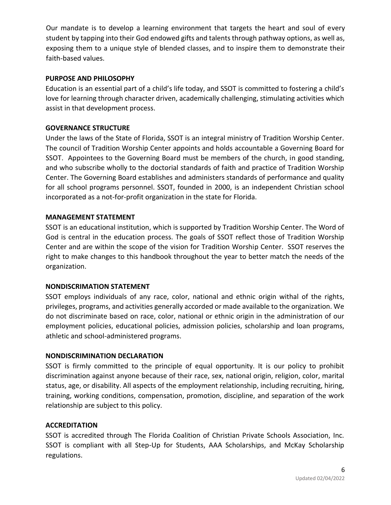Our mandate is to develop a learning environment that targets the heart and soul of every student by tapping into their God endowed gifts and talents through pathway options, as well as, exposing them to a unique style of blended classes, and to inspire them to demonstrate their faith-based values.

#### **PURPOSE AND PHILOSOPHY**

Education is an essential part of a child's life today, and SSOT is committed to fostering a child's love for learning through character driven, academically challenging, stimulating activities which assist in that development process.

#### **GOVERNANCE STRUCTURE**

Under the laws of the State of Florida, SSOT is an integral ministry of Tradition Worship Center. The council of Tradition Worship Center appoints and holds accountable a Governing Board for SSOT. Appointees to the Governing Board must be members of the church, in good standing, and who subscribe wholly to the doctorial standards of faith and practice of Tradition Worship Center. The Governing Board establishes and administers standards of performance and quality for all school programs personnel. SSOT, founded in 2000, is an independent Christian school incorporated as a not-for-profit organization in the state for Florida.

#### **MANAGEMENT STATEMENT**

SSOT is an educational institution, which is supported by Tradition Worship Center. The Word of God is central in the education process. The goals of SSOT reflect those of Tradition Worship Center and are within the scope of the vision for Tradition Worship Center. SSOT reserves the right to make changes to this handbook throughout the year to better match the needs of the organization.

#### **NONDISCRIMATION STATEMENT**

SSOT employs individuals of any race, color, national and ethnic origin withal of the rights, privileges, programs, and activities generally accorded or made available to the organization. We do not discriminate based on race, color, national or ethnic origin in the administration of our employment policies, educational policies, admission policies, scholarship and loan programs, athletic and school-administered programs.

#### **NONDISCRIMINATION DECLARATION**

SSOT is firmly committed to the principle of equal opportunity. It is our policy to prohibit discrimination against anyone because of their race, sex, national origin, religion, color, marital status, age, or disability. All aspects of the employment relationship, including recruiting, hiring, training, working conditions, compensation, promotion, discipline, and separation of the work relationship are subject to this policy.

#### **ACCREDITATION**

SSOT is accredited through The Florida Coalition of Christian Private Schools Association, Inc. SSOT is compliant with all Step-Up for Students, AAA Scholarships, and McKay Scholarship regulations.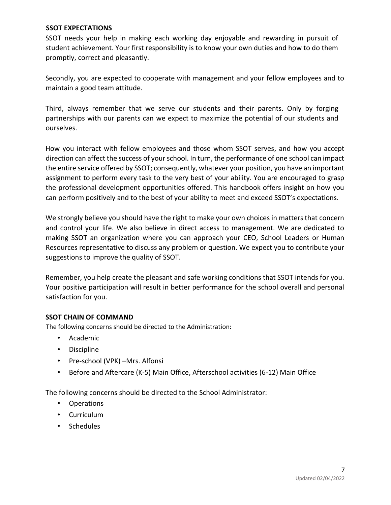#### **SSOT EXPECTATIONS**

SSOT needs your help in making each working day enjoyable and rewarding in pursuit of student achievement. Your first responsibility is to know your own duties and how to do them promptly, correct and pleasantly.

Secondly, you are expected to cooperate with management and your fellow employees and to maintain a good team attitude.

Third, always remember that we serve our students and their parents. Only by forging partnerships with our parents can we expect to maximize the potential of our students and ourselves.

How you interact with fellow employees and those whom SSOT serves, and how you accept direction can affect the success of your school. In turn, the performance of one school can impact the entire service offered by SSOT; consequently, whatever your position, you have an important assignment to perform every task to the very best of your ability. You are encouraged to grasp the professional development opportunities offered. This handbook offers insight on how you can perform positively and to the best of your ability to meet and exceed SSOT's expectations.

We strongly believe you should have the right to make your own choices in matters that concern and control your life. We also believe in direct access to management. We are dedicated to making SSOT an organization where you can approach your CEO, School Leaders or Human Resources representative to discuss any problem or question. We expect you to contribute your suggestions to improve the quality of SSOT.

Remember, you help create the pleasant and safe working conditions that SSOT intends for you. Your positive participation will result in better performance for the school overall and personal satisfaction for you.

# **SSOT CHAIN OF COMMAND**

The following concerns should be directed to the Administration:

- Academic
- Discipline
- Pre-school (VPK) –Mrs. Alfonsi
- Before and Aftercare (K-5) Main Office, Afterschool activities (6-12) Main Office

The following concerns should be directed to the School Administrator:

- Operations
- Curriculum
- Schedules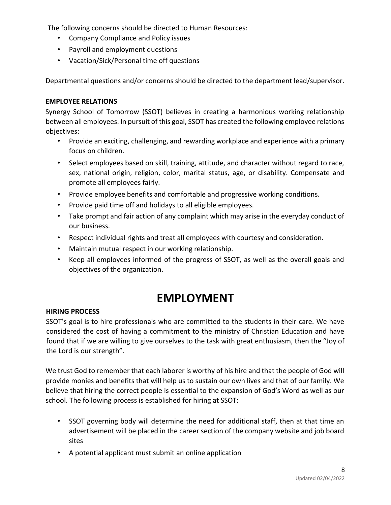The following concerns should be directed to Human Resources:

- Company Compliance and Policy issues
- Payroll and employment questions
- Vacation/Sick/Personal time off questions

Departmental questions and/or concerns should be directed to the department lead/supervisor.

# **EMPLOYEE RELATIONS**

Synergy School of Tomorrow (SSOT) believes in creating a harmonious working relationship between all employees. In pursuit of this goal, SSOT has created the following employee relations objectives:

- Provide an exciting, challenging, and rewarding workplace and experience with a primary focus on children.
- Select employees based on skill, training, attitude, and character without regard to race, sex, national origin, religion, color, marital status, age, or disability. Compensate and promote all employees fairly.
- Provide employee benefits and comfortable and progressive working conditions.
- Provide paid time off and holidays to all eligible employees.
- Take prompt and fair action of any complaint which may arise in the everyday conduct of our business.
- Respect individual rights and treat all employees with courtesy and consideration.
- Maintain mutual respect in our working relationship.
- Keep all employees informed of the progress of SSOT, as well as the overall goals and objectives of the organization.

# **EMPLOYMENT**

# **HIRING PROCESS**

SSOT's goal is to hire professionals who are committed to the students in their care. We have considered the cost of having a commitment to the ministry of Christian Education and have found that if we are willing to give ourselves to the task with great enthusiasm, then the "Joy of the Lord is our strength".

We trust God to remember that each laborer is worthy of his hire and that the people of God will provide monies and benefits that will help us to sustain our own lives and that of our family. We believe that hiring the correct people is essential to the expansion of God's Word as well as our school. The following process is established for hiring at SSOT:

- SSOT governing body will determine the need for additional staff, then at that time an advertisement will be placed in the career section of the company website and job board sites
- A potential applicant must submit an online application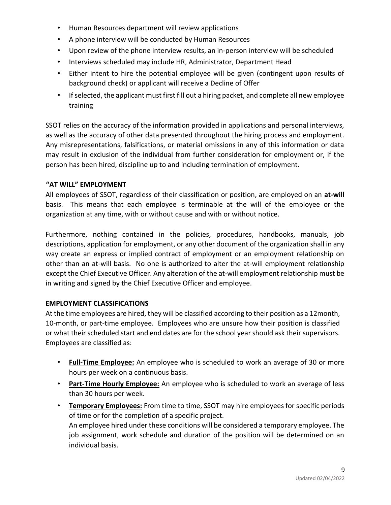- Human Resources department will review applications
- A phone interview will be conducted by Human Resources
- Upon review of the phone interview results, an in-person interview will be scheduled
- Interviews scheduled may include HR, Administrator, Department Head
- Either intent to hire the potential employee will be given (contingent upon results of background check) or applicant will receive a Decline of Offer
- If selected, the applicant must first fill out a hiring packet, and complete all new employee training

SSOT relies on the accuracy of the information provided in applications and personal interviews, as well as the accuracy of other data presented throughout the hiring process and employment. Any misrepresentations, falsifications, or material omissions in any of this information or data may result in exclusion of the individual from further consideration for employment or, if the person has been hired, discipline up to and including termination of employment.

#### **"AT WILL" EMPLOYMENT**

All employees of SSOT, regardless of their classification or position, are employed on an **at-will** basis. This means that each employee is terminable at the will of the employee or the organization at any time, with or without cause and with or without notice.

Furthermore, nothing contained in the policies, procedures, handbooks, manuals, job descriptions, application for employment, or any other document of the organization shall in any way create an express or implied contract of employment or an employment relationship on other than an at-will basis. No one is authorized to alter the at-will employment relationship except the Chief Executive Officer. Any alteration of the at-will employment relationship must be in writing and signed by the Chief Executive Officer and employee.

# **EMPLOYMENT CLASSIFICATIONS**

At the time employees are hired, they will be classified according to their position as a 12month, 10-month, or part-time employee. Employees who are unsure how their position is classified or what their scheduled start and end dates are for the school year should ask their supervisors. Employees are classified as:

- **Full-Time Employee:** An employee who is scheduled to work an average of 30 or more hours per week on a continuous basis.
- **Part-Time Hourly Employee:** An employee who is scheduled to work an average of less than 30 hours per week.
- **Temporary Employees:** From time to time, SSOT may hire employees for specific periods of time or for the completion of a specific project. An employee hired under these conditions will be considered a temporary employee. The job assignment, work schedule and duration of the position will be determined on an individual basis.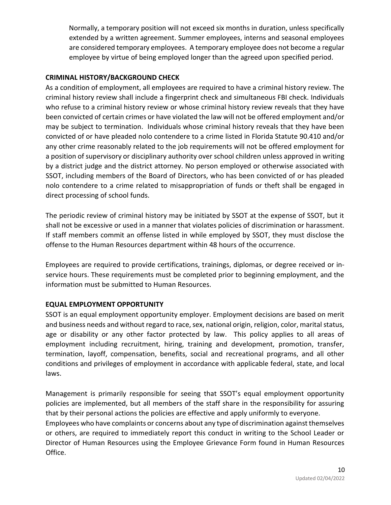Normally, a temporary position will not exceed six months in duration, unless specifically extended by a written agreement. Summer employees, interns and seasonal employees are considered temporary employees. A temporary employee does not become a regular employee by virtue of being employed longer than the agreed upon specified period.

# **CRIMINAL HISTORY/BACKGROUND CHECK**

As a condition of employment, all employees are required to have a criminal history review. The criminal history review shall include a fingerprint check and simultaneous FBI check. Individuals who refuse to a criminal history review or whose criminal history review reveals that they have been convicted of certain crimes or have violated the law will not be offered employment and/or may be subject to termination. Individuals whose criminal history reveals that they have been convicted of or have pleaded nolo contendere to a crime listed in Florida Statute 90.410 and/or any other crime reasonably related to the job requirements will not be offered employment for a position of supervisory or disciplinary authority over school children unless approved in writing by a district judge and the district attorney. No person employed or otherwise associated with SSOT, including members of the Board of Directors, who has been convicted of or has pleaded nolo contendere to a crime related to misappropriation of funds or theft shall be engaged in direct processing of school funds.

The periodic review of criminal history may be initiated by SSOT at the expense of SSOT, but it shall not be excessive or used in a manner that violates policies of discrimination or harassment. If staff members commit an offense listed in while employed by SSOT, they must disclose the offense to the Human Resources department within 48 hours of the occurrence.

Employees are required to provide certifications, trainings, diplomas, or degree received or inservice hours. These requirements must be completed prior to beginning employment, and the information must be submitted to Human Resources.

# **EQUAL EMPLOYMENT OPPORTUNITY**

SSOT is an equal employment opportunity employer. Employment decisions are based on merit and business needs and without regard to race, sex, national origin, religion, color, marital status, age or disability or any other factor protected by law. This policy applies to all areas of employment including recruitment, hiring, training and development, promotion, transfer, termination, layoff, compensation, benefits, social and recreational programs, and all other conditions and privileges of employment in accordance with applicable federal, state, and local laws.

Management is primarily responsible for seeing that SSOT's equal employment opportunity policies are implemented, but all members of the staff share in the responsibility for assuring that by their personal actions the policies are effective and apply uniformly to everyone.

Employees who have complaints or concerns about any type of discrimination against themselves or others, are required to immediately report this conduct in writing to the School Leader or Director of Human Resources using the Employee Grievance Form found in Human Resources Office.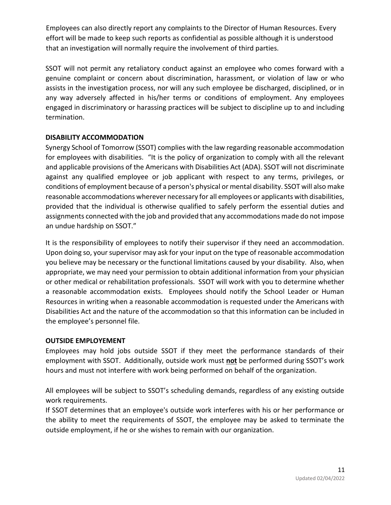Employees can also directly report any complaints to the Director of Human Resources. Every effort will be made to keep such reports as confidential as possible although it is understood that an investigation will normally require the involvement of third parties.

SSOT will not permit any retaliatory conduct against an employee who comes forward with a genuine complaint or concern about discrimination, harassment, or violation of law or who assists in the investigation process, nor will any such employee be discharged, disciplined, or in any way adversely affected in his/her terms or conditions of employment. Any employees engaged in discriminatory or harassing practices will be subject to discipline up to and including termination.

# **DISABILITY ACCOMMODATION**

Synergy School of Tomorrow (SSOT) complies with the law regarding reasonable accommodation for employees with disabilities. "It is the policy of organization to comply with all the relevant and applicable provisions of the Americans with Disabilities Act (ADA). SSOT will not discriminate against any qualified employee or job applicant with respect to any terms, privileges, or conditions of employment because of a person's physical or mental disability. SSOT will also make reasonable accommodations wherever necessary for all employees or applicants with disabilities, provided that the individual is otherwise qualified to safely perform the essential duties and assignments connected with the job and provided that any accommodations made do not impose an undue hardship on SSOT."

It is the responsibility of employees to notify their supervisor if they need an accommodation. Upon doing so, your supervisor may ask for your input on the type of reasonable accommodation you believe may be necessary or the functional limitations caused by your disability. Also, when appropriate, we may need your permission to obtain additional information from your physician or other medical or rehabilitation professionals. SSOT will work with you to determine whether a reasonable accommodation exists. Employees should notify the School Leader or Human Resources in writing when a reasonable accommodation is requested under the Americans with Disabilities Act and the nature of the accommodation so that this information can be included in the employee's personnel file.

# **OUTSIDE EMPLOYEMENT**

Employees may hold jobs outside SSOT if they meet the performance standards of their employment with SSOT. Additionally, outside work must **not** be performed during SSOT's work hours and must not interfere with work being performed on behalf of the organization.

All employees will be subject to SSOT's scheduling demands, regardless of any existing outside work requirements.

If SSOT determines that an employee's outside work interferes with his or her performance or the ability to meet the requirements of SSOT, the employee may be asked to terminate the outside employment, if he or she wishes to remain with our organization.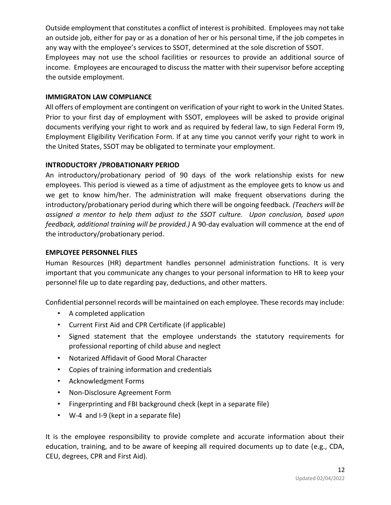Outside employment that constitutes a conflict of interest is prohibited. Employees may not take an outside job, either for pay or as a donation of her or his personal time, if the job competes in any way with the employee's services to SSOT, determined at the sole discretion of SSOT. Employees may not use the school facilities or resources to provide an additional source of income. Employees are encouraged to discuss the matter with their supervisor before accepting the outside employment.

# **IMMIGRATON LAW COMPLIANCE**

All offers of employment are contingent on verification of your right to work in the United States. Prior to your first day of employment with SSOT, employees will be asked to provide original documents verifying your right to work and as required by federal law, to sign Federal Form I9, Employment Eligibility Verification Form. If at any time you cannot verify your right to work in the United States, SSOT may be obligated to terminate your employment.

# **INTRODUCTORY /PROBATIONARY PERIOD**

An introductory/probationary period of 90 days of the work relationship exists for new employees. This period is viewed as a time of adjustment as the employee gets to know us and we get to know him/her. The administration will make frequent observations during the introductory/probationary period during which there will be ongoing feedback*. (Teachers will be assigned a mentor to help them adjust to the SSOT culture. Upon conclusion, based upon feedback, additional training will be provided.)* A 90-day evaluation will commence at the end of the introductory/probationary period.

#### **EMPLOYEE PERSONNEL FILES**

Human Resources (HR) department handles personnel administration functions. It is very important that you communicate any changes to your personal information to HR to keep your personnel file up to date regarding pay, deductions, and other matters.

Confidential personnel records will be maintained on each employee. These records may include:

- A completed application
- Current First Aid and CPR Certificate (if applicable)
- Signed statement that the employee understands the statutory requirements for professional reporting of child abuse and neglect
- Notarized Affidavit of Good Moral Character
- Copies of training information and credentials
- Acknowledgment Forms
- Non-Disclosure Agreement Form
- Fingerprinting and FBI background check (kept in a separate file)
- W-4 and I-9 (kept in a separate file)

It is the employee responsibility to provide complete and accurate information about their education, training, and to be aware of keeping all required documents up to date (e.g., CDA, CEU, degrees, CPR and First Aid).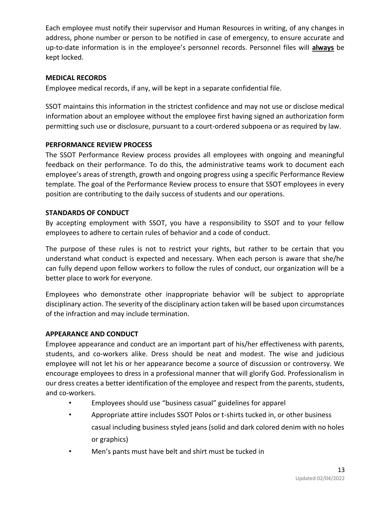Each employee must notify their supervisor and Human Resources in writing, of any changes in address, phone number or person to be notified in case of emergency, to ensure accurate and up-to-date information is in the employee's personnel records. Personnel files will **always** be kept locked.

# **MEDICAL RECORDS**

Employee medical records, if any, will be kept in a separate confidential file.

SSOT maintains this information in the strictest confidence and may not use or disclose medical information about an employee without the employee first having signed an authorization form permitting such use or disclosure, pursuant to a court-ordered subpoena or as required by law.

# **PERFORMANCE REVIEW PROCESS**

The SSOT Performance Review process provides all employees with ongoing and meaningful feedback on their performance. To do this, the administrative teams work to document each employee's areas of strength, growth and ongoing progress using a specific Performance Review template. The goal of the Performance Review process to ensure that SSOT employees in every position are contributing to the daily success of students and our operations.

# **STANDARDS OF CONDUCT**

By accepting employment with SSOT, you have a responsibility to SSOT and to your fellow employees to adhere to certain rules of behavior and a code of conduct.

The purpose of these rules is not to restrict your rights, but rather to be certain that you understand what conduct is expected and necessary. When each person is aware that she/he can fully depend upon fellow workers to follow the rules of conduct, our organization will be a better place to work for everyone.

Employees who demonstrate other inappropriate behavior will be subject to appropriate disciplinary action. The severity of the disciplinary action taken will be based upon circumstances of the infraction and may include termination.

# **APPEARANCE AND CONDUCT**

Employee appearance and conduct are an important part of his/her effectiveness with parents, students, and co-workers alike. Dress should be neat and modest. The wise and judicious employee will not let his or her appearance become a source of discussion or controversy. We encourage employees to dress in a professional manner that will glorify God. Professionalism in our dress creates a better identification of the employee and respect from the parents, students, and co-workers.

- Employees should use "business casual" guidelines for apparel
- Appropriate attire includes SSOT Polos or t-shirts tucked in, or other business casual including business styled jeans (solid and dark colored denim with no holes or graphics)
- Men's pants must have belt and shirt must be tucked in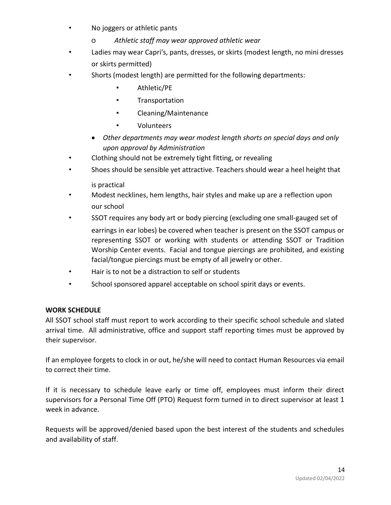- No joggers or athletic pants
	- o *Athletic staff may wear approved athletic wear*
- Ladies may wear Capri's, pants, dresses, or skirts (modest length, no mini dresses or skirts permitted)
- Shorts (modest length) are permitted for the following departments:
	- Athletic/PE
	- Transportation
	- Cleaning/Maintenance
	- Volunteers
	- *Other departments may wear modest length shorts on special days and only upon approval by Administration*
- Clothing should not be extremely tight fitting, or revealing
- Shoes should be sensible yet attractive. Teachers should wear a heel height that is practical
- Modest necklines, hem lengths, hair styles and make up are a reflection upon our school
- SSOT requires any body art or body piercing (excluding one small-gauged set of earrings in ear lobes) be covered when teacher is present on the SSOT campus or representing SSOT or working with students or attending SSOT or Tradition Worship Center events. Facial and tongue piercings are prohibited, and existing facial/tongue piercings must be empty of all jewelry or other.
- Hair is to not be a distraction to self or students
- School sponsored apparel acceptable on school spirit days or events.

# **WORK SCHEDULE**

All SSOT school staff must report to work according to their specific school schedule and slated arrival time. All administrative, office and support staff reporting times must be approved by their supervisor.

If an employee forgets to clock in or out, he/she will need to contact Human Resources via email to correct their time.

If it is necessary to schedule leave early or time off, employees must inform their direct supervisors for a Personal Time Off (PTO) Request form turned in to direct supervisor at least 1 week in advance.

Requests will be approved/denied based upon the best interest of the students and schedules and availability of staff.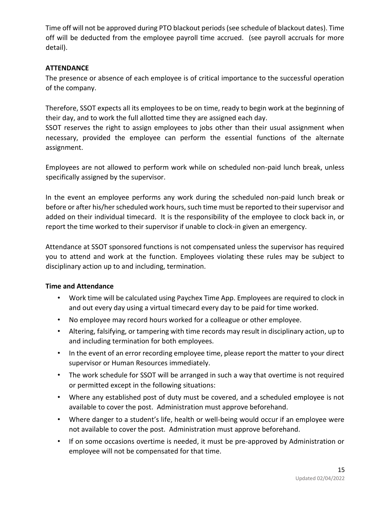Time off will not be approved during PTO blackout periods (see schedule of blackout dates). Time off will be deducted from the employee payroll time accrued. (see payroll accruals for more detail).

# **ATTENDANCE**

The presence or absence of each employee is of critical importance to the successful operation of the company.

Therefore, SSOT expects all its employees to be on time, ready to begin work at the beginning of their day, and to work the full allotted time they are assigned each day.

SSOT reserves the right to assign employees to jobs other than their usual assignment when necessary, provided the employee can perform the essential functions of the alternate assignment.

Employees are not allowed to perform work while on scheduled non-paid lunch break, unless specifically assigned by the supervisor.

In the event an employee performs any work during the scheduled non-paid lunch break or before or after his/her scheduled work hours, such time must be reported to their supervisor and added on their individual timecard. It is the responsibility of the employee to clock back in, or report the time worked to their supervisor if unable to clock-in given an emergency.

Attendance at SSOT sponsored functions is not compensated unless the supervisor has required you to attend and work at the function. Employees violating these rules may be subject to disciplinary action up to and including, termination.

# **Time and Attendance**

- Work time will be calculated using Paychex Time App. Employees are required to clock in and out every day using a virtual timecard every day to be paid for time worked.
- No employee may record hours worked for a colleague or other employee.
- Altering, falsifying, or tampering with time records may result in disciplinary action, up to and including termination for both employees.
- In the event of an error recording employee time, please report the matter to your direct supervisor or Human Resources immediately.
- The work schedule for SSOT will be arranged in such a way that overtime is not required or permitted except in the following situations:
- Where any established post of duty must be covered, and a scheduled employee is not available to cover the post. Administration must approve beforehand.
- Where danger to a student's life, health or well-being would occur if an employee were not available to cover the post. Administration must approve beforehand.
- If on some occasions overtime is needed, it must be pre-approved by Administration or employee will not be compensated for that time.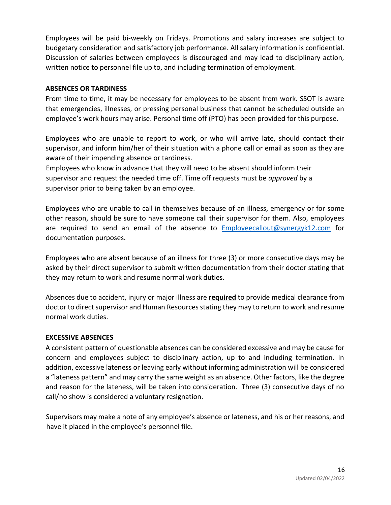Employees will be paid bi-weekly on Fridays. Promotions and salary increases are subject to budgetary consideration and satisfactory job performance. All salary information is confidential. Discussion of salaries between employees is discouraged and may lead to disciplinary action, written notice to personnel file up to, and including termination of employment.

#### **ABSENCES OR TARDINESS**

From time to time, it may be necessary for employees to be absent from work. SSOT is aware that emergencies, illnesses, or pressing personal business that cannot be scheduled outside an employee's work hours may arise. Personal time off (PTO) has been provided for this purpose.

Employees who are unable to report to work, or who will arrive late, should contact their supervisor, and inform him/her of their situation with a phone call or email as soon as they are aware of their impending absence or tardiness.

Employees who know in advance that they will need to be absent should inform their supervisor and request the needed time off. Time off requests must be *approved* by a supervisor prior to being taken by an employee.

Employees who are unable to call in themselves because of an illness, emergency or for some other reason, should be sure to have someone call their supervisor for them. Also, employees are required to send an email of the absence to **Employeecallout@synergyk12.com** for documentation purposes.

Employees who are absent because of an illness for three (3) or more consecutive days may be asked by their direct supervisor to submit written documentation from their doctor stating that they may return to work and resume normal work duties.

Absences due to accident, injury or major illness are **required** to provide medical clearance from doctor to direct supervisor and Human Resources stating they may to return to work and resume normal work duties.

# **EXCESSIVE ABSENCES**

A consistent pattern of questionable absences can be considered excessive and may be cause for concern and employees subject to disciplinary action, up to and including termination. In addition, excessive lateness or leaving early without informing administration will be considered a "lateness pattern" and may carry the same weight as an absence. Other factors, like the degree and reason for the lateness, will be taken into consideration. Three (3) consecutive days of no call/no show is considered a voluntary resignation.

Supervisors may make a note of any employee's absence or lateness, and his or her reasons, and have it placed in the employee's personnel file.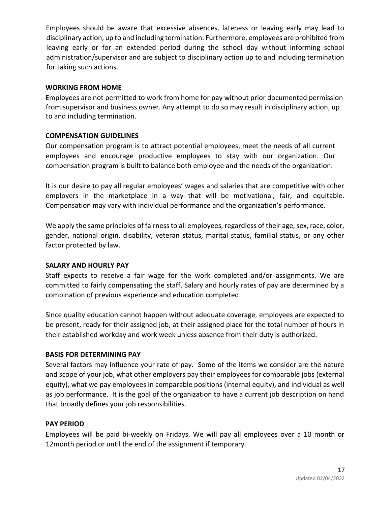Employees should be aware that excessive absences, lateness or leaving early may lead to disciplinary action, up to and including termination. Furthermore, employees are prohibited from leaving early or for an extended period during the school day without informing school administration/supervisor and are subject to disciplinary action up to and including termination for taking such actions.

#### **WORKING FROM HOME**

Employees are not permitted to work from home for pay without prior documented permission from supervisor and business owner. Any attempt to do so may result in disciplinary action, up to and including termination.

# **COMPENSATION GUIDELINES**

Our compensation program is to attract potential employees, meet the needs of all current employees and encourage productive employees to stay with our organization. Our compensation program is built to balance both employee and the needs of the organization.

It is our desire to pay all regular employees' wages and salaries that are competitive with other employers in the marketplace in a way that will be motivational, fair, and equitable. Compensation may vary with individual performance and the organization's performance.

We apply the same principles of fairness to all employees, regardless of their age, sex, race, color, gender, national origin, disability, veteran status, marital status, familial status, or any other factor protected by law.

#### **SALARY AND HOURLY PAY**

Staff expects to receive a fair wage for the work completed and/or assignments. We are committed to fairly compensating the staff. Salary and hourly rates of pay are determined by a combination of previous experience and education completed.

Since quality education cannot happen without adequate coverage, employees are expected to be present, ready for their assigned job, at their assigned place for the total number of hours in their established workday and work week unless absence from their duty is authorized.

# **BASIS FOR DETERMINING PAY**

Several factors may influence your rate of pay. Some of the items we consider are the nature and scope of your job, what other employers pay their employees for comparable jobs (external equity), what we pay employees in comparable positions (internal equity), and individual as well as job performance. It is the goal of the organization to have a current job description on hand that broadly defines your job responsibilities.

# **PAY PERIOD**

Employees will be paid bi-weekly on Fridays. We will pay all employees over a 10 month or 12month period or until the end of the assignment if temporary.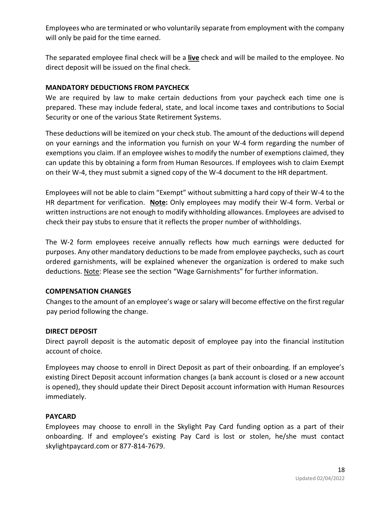Employees who are terminated or who voluntarily separate from employment with the company will only be paid for the time earned.

The separated employee final check will be a **live** check and will be mailed to the employee. No direct deposit will be issued on the final check.

# **MANDATORY DEDUCTIONS FROM PAYCHECK**

We are required by law to make certain deductions from your paycheck each time one is prepared. These may include federal, state, and local income taxes and contributions to Social Security or one of the various State Retirement Systems.

These deductions will be itemized on your check stub. The amount of the deductions will depend on your earnings and the information you furnish on your W-4 form regarding the number of exemptions you claim. If an employee wishes to modify the number of exemptions claimed, they can update this by obtaining a form from Human Resources. If employees wish to claim Exempt on their W-4, they must submit a signed copy of the W-4 document to the HR department.

Employees will not be able to claim "Exempt" without submitting a hard copy of their W-4 to the HR department for verification. **Note:** Only employees may modify their W-4 form. Verbal or written instructions are not enough to modify withholding allowances. Employees are advised to check their pay stubs to ensure that it reflects the proper number of withholdings.

The W-2 form employees receive annually reflects how much earnings were deducted for purposes. Any other mandatory deductions to be made from employee paychecks, such as court ordered garnishments, will be explained whenever the organization is ordered to make such deductions. Note: Please see the section "Wage Garnishments" for further information.

# **COMPENSATION CHANGES**

Changes to the amount of an employee's wage or salary will become effective on the first regular pay period following the change.

# **DIRECT DEPOSIT**

Direct payroll deposit is the automatic deposit of employee pay into the financial institution account of choice.

Employees may choose to enroll in Direct Deposit as part of their onboarding. If an employee's existing Direct Deposit account information changes (a bank account is closed or a new account is opened), they should update their Direct Deposit account information with Human Resources immediately.

# **PAYCARD**

Employees may choose to enroll in the Skylight Pay Card funding option as a part of their onboarding. If and employee's existing Pay Card is lost or stolen, he/she must contact skylightpaycard.com or 877-814-7679.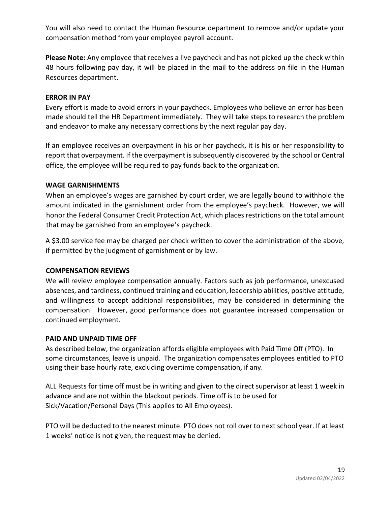You will also need to contact the Human Resource department to remove and/or update your compensation method from your employee payroll account.

**Please Note:** Any employee that receives a live paycheck and has not picked up the check within 48 hours following pay day, it will be placed in the mail to the address on file in the Human Resources department.

#### **ERROR IN PAY**

Every effort is made to avoid errors in your paycheck. Employees who believe an error has been made should tell the HR Department immediately. They will take steps to research the problem and endeavor to make any necessary corrections by the next regular pay day.

If an employee receives an overpayment in his or her paycheck, it is his or her responsibility to report that overpayment. If the overpayment is subsequently discovered by the school or Central office, the employee will be required to pay funds back to the organization.

#### **WAGE GARNISHMENTS**

When an employee's wages are garnished by court order, we are legally bound to withhold the amount indicated in the garnishment order from the employee's paycheck. However, we will honor the Federal Consumer Credit Protection Act, which places restrictions on the total amount that may be garnished from an employee's paycheck.

A \$3.00 service fee may be charged per check written to cover the administration of the above, if permitted by the judgment of garnishment or by law.

#### **COMPENSATION REVIEWS**

We will review employee compensation annually. Factors such as job performance, unexcused absences, and tardiness, continued training and education, leadership abilities, positive attitude, and willingness to accept additional responsibilities, may be considered in determining the compensation. However, good performance does not guarantee increased compensation or continued employment.

#### **PAID AND UNPAID TIME OFF**

As described below, the organization affords eligible employees with Paid Time Off (PTO). In some circumstances, leave is unpaid. The organization compensates employees entitled to PTO using their base hourly rate, excluding overtime compensation, if any.

ALL Requests for time off must be in writing and given to the direct supervisor at least 1 week in advance and are not within the blackout periods. Time off is to be used for Sick/Vacation/Personal Days (This applies to All Employees).

PTO will be deducted to the nearest minute. PTO does not roll over to next school year. If at least 1 weeks' notice is not given, the request may be denied.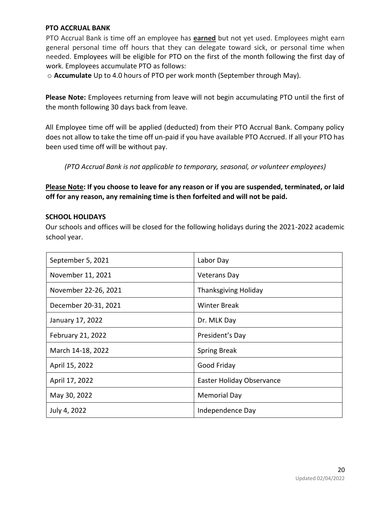#### **PTO ACCRUAL BANK**

PTO Accrual Bank is time off an employee has **earned** but not yet used. Employees might earn general personal time off hours that they can delegate toward sick, or personal time when needed. Employees will be eligible for PTO on the first of the month following the first day of work. Employees accumulate PTO as follows:

o **Accumulate** Up to 4.0 hours of PTO per work month (September through May).

**Please Note:** Employees returning from leave will not begin accumulating PTO until the first of the month following 30 days back from leave.

All Employee time off will be applied (deducted) from their PTO Accrual Bank. Company policy does not allow to take the time off un-paid if you have available PTO Accrued. If all your PTO has been used time off will be without pay.

*(PTO Accrual Bank is not applicable to temporary, seasonal, or volunteer employees)* 

**Please Note: If you choose to leave for any reason or if you are suspended, terminated, or laid off for any reason, any remaining time is then forfeited and will not be paid.** 

#### **SCHOOL HOLIDAYS**

Our schools and offices will be closed for the following holidays during the 2021-2022 academic school year.

| September 5, 2021    | Labor Day                        |
|----------------------|----------------------------------|
| November 11, 2021    | <b>Veterans Day</b>              |
| November 22-26, 2021 | <b>Thanksgiving Holiday</b>      |
| December 20-31, 2021 | <b>Winter Break</b>              |
| January 17, 2022     | Dr. MLK Day                      |
| February 21, 2022    | President's Day                  |
| March 14-18, 2022    | <b>Spring Break</b>              |
| April 15, 2022       | Good Friday                      |
| April 17, 2022       | <b>Easter Holiday Observance</b> |
| May 30, 2022         | Memorial Day                     |
| July 4, 2022         | Independence Day                 |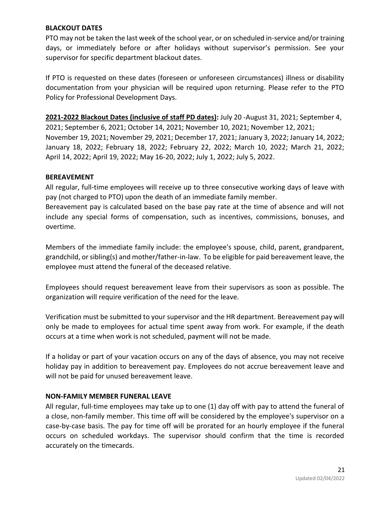#### **BLACKOUT DATES**

PTO may not be taken the last week of the school year, or on scheduled in-service and/or training days, or immediately before or after holidays without supervisor's permission. See your supervisor for specific department blackout dates.

If PTO is requested on these dates (foreseen or unforeseen circumstances) illness or disability documentation from your physician will be required upon returning. Please refer to the PTO Policy for Professional Development Days.

**2021-2022 Blackout Dates (inclusive of staff PD dates):** July 20 -August 31, 2021; September 4, 2021; September 6, 2021; October 14, 2021; November 10, 2021; November 12, 2021; November 19, 2021; November 29, 2021; December 17, 2021; January 3, 2022; January 14, 2022; January 18, 2022; February 18, 2022; February 22, 2022; March 10, 2022; March 21, 2022; April 14, 2022; April 19, 2022; May 16-20, 2022; July 1, 2022; July 5, 2022.

#### **BEREAVEMENT**

All regular, full-time employees will receive up to three consecutive working days of leave with pay (not charged to PTO) upon the death of an immediate family member.

Bereavement pay is calculated based on the base pay rate at the time of absence and will not include any special forms of compensation, such as incentives, commissions, bonuses, and overtime.

Members of the immediate family include: the employee's spouse, child, parent, grandparent, grandchild, or sibling(s) and mother/father-in-law. To be eligible for paid bereavement leave, the employee must attend the funeral of the deceased relative.

Employees should request bereavement leave from their supervisors as soon as possible. The organization will require verification of the need for the leave.

Verification must be submitted to your supervisor and the HR department. Bereavement pay will only be made to employees for actual time spent away from work. For example, if the death occurs at a time when work is not scheduled, payment will not be made.

If a holiday or part of your vacation occurs on any of the days of absence, you may not receive holiday pay in addition to bereavement pay. Employees do not accrue bereavement leave and will not be paid for unused bereavement leave.

#### **NON-FAMILY MEMBER FUNERAL LEAVE**

All regular, full-time employees may take up to one (1) day off with pay to attend the funeral of a close, non-family member. This time off will be considered by the employee's supervisor on a case-by-case basis. The pay for time off will be prorated for an hourly employee if the funeral occurs on scheduled workdays. The supervisor should confirm that the time is recorded accurately on the timecards.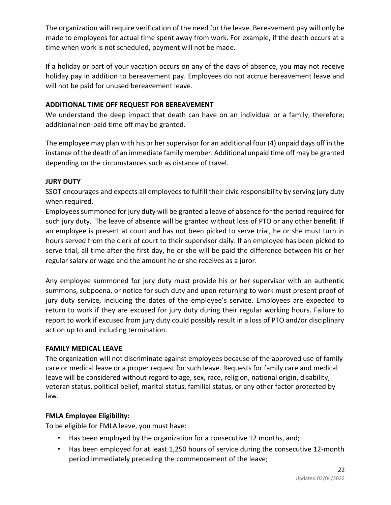The organization will require verification of the need for the leave. Bereavement pay will only be made to employees for actual time spent away from work. For example, if the death occurs at a time when work is not scheduled, payment will not be made.

If a holiday or part of your vacation occurs on any of the days of absence, you may not receive holiday pay in addition to bereavement pay. Employees do not accrue bereavement leave and will not be paid for unused bereavement leave.

# **ADDITIONAL TIME OFF REQUEST FOR BEREAVEMENT**

We understand the deep impact that death can have on an individual or a family, therefore; additional non-paid time off may be granted.

The employee may plan with his or her supervisor for an additional four (4) unpaid days off in the instance of the death of an immediate family member. Additional unpaid time off may be granted depending on the circumstances such as distance of travel.

# **JURY DUTY**

SSOT encourages and expects all employees to fulfill their civic responsibility by serving jury duty when required.

Employees summoned for jury duty will be granted a leave of absence for the period required for such jury duty. The leave of absence will be granted without loss of PTO or any other benefit. If an employee is present at court and has not been picked to serve trial, he or she must turn in hours served from the clerk of court to their supervisor daily. If an employee has been picked to serve trial, all time after the first day, he or she will be paid the difference between his or her regular salary or wage and the amount he or she receives as a juror.

Any employee summoned for jury duty must provide his or her supervisor with an authentic summons, subpoena, or notice for such duty and upon returning to work must present proof of jury duty service, including the dates of the employee's service. Employees are expected to return to work if they are excused for jury duty during their regular working hours. Failure to report to work if excused from jury duty could possibly result in a loss of PTO and/or disciplinary action up to and including termination.

# **FAMILY MEDICAL LEAVE**

The organization will not discriminate against employees because of the approved use of family care or medical leave or a proper request for such leave. Requests for family care and medical leave will be considered without regard to age, sex, race, religion, national origin, disability, veteran status, political belief, marital status, familial status, or any other factor protected by law.

# **FMLA Employee Eligibility:**

To be eligible for FMLA leave, you must have:

- Has been employed by the organization for a consecutive 12 months, and;
- Has been employed for at least 1,250 hours of service during the consecutive 12-month period immediately preceding the commencement of the leave;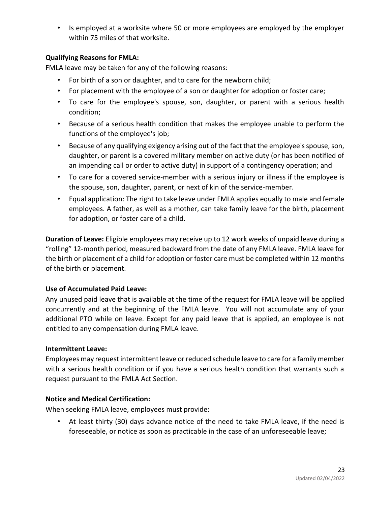• Is employed at a worksite where 50 or more employees are employed by the employer within 75 miles of that worksite.

# **Qualifying Reasons for FMLA:**

FMLA leave may be taken for any of the following reasons:

- For birth of a son or daughter, and to care for the newborn child;
- For placement with the employee of a son or daughter for adoption or foster care;
- To care for the employee's spouse, son, daughter, or parent with a serious health condition;
- Because of a serious health condition that makes the employee unable to perform the functions of the employee's job;
- Because of any qualifying exigency arising out of the fact that the employee's spouse, son, daughter, or parent is a covered military member on active duty (or has been notified of an impending call or order to active duty) in support of a contingency operation; and
- To care for a covered service-member with a serious injury or illness if the employee is the spouse, son, daughter, parent, or next of kin of the service-member.
- Equal application: The right to take leave under FMLA applies equally to male and female employees. A father, as well as a mother, can take family leave for the birth, placement for adoption, or foster care of a child.

**Duration of Leave:** Eligible employees may receive up to 12 work weeks of unpaid leave during a "rolling" 12-month period, measured backward from the date of any FMLA leave. FMLA leave for the birth or placement of a child for adoption or foster care must be completed within 12 months of the birth or placement.

# **Use of Accumulated Paid Leave:**

Any unused paid leave that is available at the time of the request for FMLA leave will be applied concurrently and at the beginning of the FMLA leave. You will not accumulate any of your additional PTO while on leave. Except for any paid leave that is applied, an employee is not entitled to any compensation during FMLA leave.

# **Intermittent Leave:**

Employees may request intermittent leave or reduced schedule leave to care for a family member with a serious health condition or if you have a serious health condition that warrants such a request pursuant to the FMLA Act Section.

# **Notice and Medical Certification:**

When seeking FMLA leave, employees must provide:

• At least thirty (30) days advance notice of the need to take FMLA leave, if the need is foreseeable, or notice as soon as practicable in the case of an unforeseeable leave;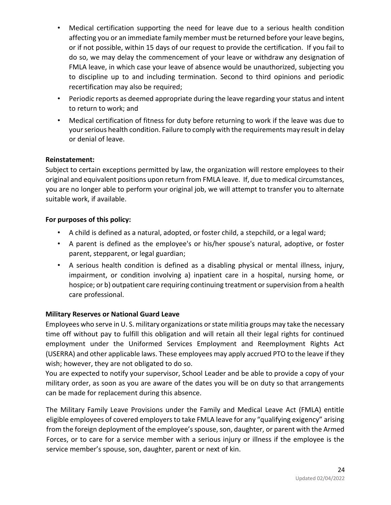- Medical certification supporting the need for leave due to a serious health condition affecting you or an immediate family member must be returned before your leave begins, or if not possible, within 15 days of our request to provide the certification. If you fail to do so, we may delay the commencement of your leave or withdraw any designation of FMLA leave, in which case your leave of absence would be unauthorized, subjecting you to discipline up to and including termination. Second to third opinions and periodic recertification may also be required;
- Periodic reports as deemed appropriate during the leave regarding your status and intent to return to work; and
- Medical certification of fitness for duty before returning to work if the leave was due to your serious health condition. Failure to comply with the requirements may result in delay or denial of leave.

# **Reinstatement:**

Subject to certain exceptions permitted by law, the organization will restore employees to their original and equivalent positions upon return from FMLA leave. If, due to medical circumstances, you are no longer able to perform your original job, we will attempt to transfer you to alternate suitable work, if available.

# **For purposes of this policy:**

- A child is defined as a natural, adopted, or foster child, a stepchild, or a legal ward;
- A parent is defined as the employee's or his/her spouse's natural, adoptive, or foster parent, stepparent, or legal guardian;
- A serious health condition is defined as a disabling physical or mental illness, injury, impairment, or condition involving a) inpatient care in a hospital, nursing home, or hospice; or b) outpatient care requiring continuing treatment or supervision from a health care professional.

# **Military Reserves or National Guard Leave**

Employees who serve in U. S. military organizations or state militia groups may take the necessary time off without pay to fulfill this obligation and will retain all their legal rights for continued employment under the Uniformed Services Employment and Reemployment Rights Act (USERRA) and other applicable laws. These employees may apply accrued PTO to the leave if they wish; however, they are not obligated to do so.

You are expected to notify your supervisor, School Leader and be able to provide a copy of your military order, as soon as you are aware of the dates you will be on duty so that arrangements can be made for replacement during this absence.

The Military Family Leave Provisions under the Family and Medical Leave Act (FMLA) entitle eligible employees of covered employers to take FMLA leave for any "qualifying exigency" arising from the foreign deployment of the employee's spouse, son, daughter, or parent with the Armed Forces, or to care for a service member with a serious injury or illness if the employee is the service member's spouse, son, daughter, parent or next of kin.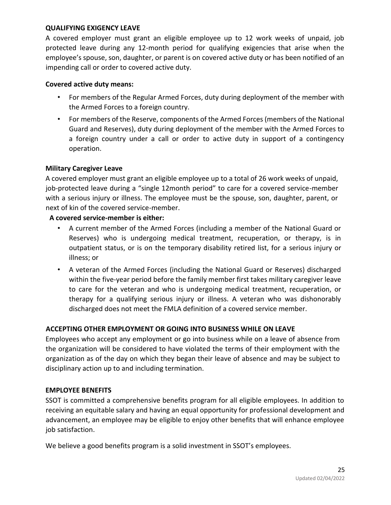#### **QUALIFYING EXIGENCY LEAVE**

A covered employer must grant an eligible employee up to 12 work weeks of unpaid, job protected leave during any 12-month period for qualifying exigencies that arise when the employee's spouse, son, daughter, or parent is on covered active duty or has been notified of an impending call or order to covered active duty.

#### **Covered active duty means:**

- For members of the Regular Armed Forces, duty during deployment of the member with the Armed Forces to a foreign country.
- For members of the Reserve, components of the Armed Forces (members of the National Guard and Reserves), duty during deployment of the member with the Armed Forces to a foreign country under a call or order to active duty in support of a contingency operation.

#### **Military Caregiver Leave**

A covered employer must grant an eligible employee up to a total of 26 work weeks of unpaid, job-protected leave during a "single 12month period" to care for a covered service-member with a serious injury or illness. The employee must be the spouse, son, daughter, parent, or next of kin of the covered service-member.

#### **A covered service-member is either:**

- A current member of the Armed Forces (including a member of the National Guard or Reserves) who is undergoing medical treatment, recuperation, or therapy, is in outpatient status, or is on the temporary disability retired list, for a serious injury or illness; or
- A veteran of the Armed Forces (including the National Guard or Reserves) discharged within the five-year period before the family member first takes military caregiver leave to care for the veteran and who is undergoing medical treatment, recuperation, or therapy for a qualifying serious injury or illness. A veteran who was dishonorably discharged does not meet the FMLA definition of a covered service member.

# **ACCEPTING OTHER EMPLOYMENT OR GOING INTO BUSINESS WHILE ON LEAVE**

Employees who accept any employment or go into business while on a leave of absence from the organization will be considered to have violated the terms of their employment with the organization as of the day on which they began their leave of absence and may be subject to disciplinary action up to and including termination.

#### **EMPLOYEE BENEFITS**

SSOT is committed a comprehensive benefits program for all eligible employees. In addition to receiving an equitable salary and having an equal opportunity for professional development and advancement, an employee may be eligible to enjoy other benefits that will enhance employee job satisfaction.

We believe a good benefits program is a solid investment in SSOT's employees.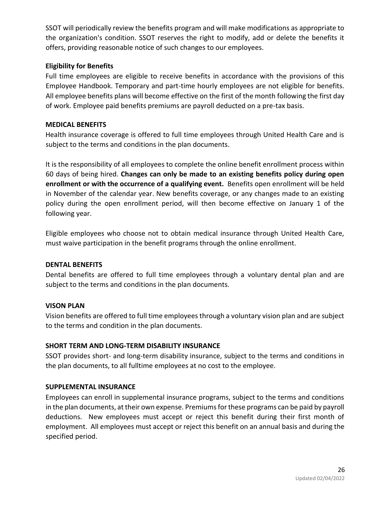SSOT will periodically review the benefits program and will make modifications as appropriate to the organization's condition. SSOT reserves the right to modify, add or delete the benefits it offers, providing reasonable notice of such changes to our employees.

# **Eligibility for Benefits**

Full time employees are eligible to receive benefits in accordance with the provisions of this Employee Handbook. Temporary and part-time hourly employees are not eligible for benefits. All employee benefits plans will become effective on the first of the month following the first day of work. Employee paid benefits premiums are payroll deducted on a pre-tax basis.

# **MEDICAL BENEFITS**

Health insurance coverage is offered to full time employees through United Health Care and is subject to the terms and conditions in the plan documents.

It is the responsibility of all employees to complete the online benefit enrollment process within 60 days of being hired. **Changes can only be made to an existing benefits policy during open enrollment or with the occurrence of a qualifying event.** Benefits open enrollment will be held in November of the calendar year. New benefits coverage, or any changes made to an existing policy during the open enrollment period, will then become effective on January 1 of the following year.

Eligible employees who choose not to obtain medical insurance through United Health Care, must waive participation in the benefit programs through the online enrollment.

# **DENTAL BENEFITS**

Dental benefits are offered to full time employees through a voluntary dental plan and are subject to the terms and conditions in the plan documents.

# **VISON PLAN**

Vision benefits are offered to full time employees through a voluntary vision plan and are subject to the terms and condition in the plan documents.

# **SHORT TERM AND LONG-TERM DISABILITY INSURANCE**

SSOT provides short- and long-term disability insurance, subject to the terms and conditions in the plan documents, to all fulltime employees at no cost to the employee.

# **SUPPLEMENTAL INSURANCE**

Employees can enroll in supplemental insurance programs, subject to the terms and conditions in the plan documents, at their own expense. Premiums for these programs can be paid by payroll deductions. New employees must accept or reject this benefit during their first month of employment. All employees must accept or reject this benefit on an annual basis and during the specified period.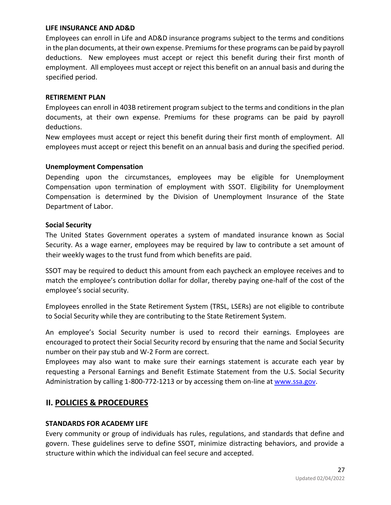#### **LIFE INSURANCE AND AD&D**

Employees can enroll in Life and AD&D insurance programs subject to the terms and conditions in the plan documents, at their own expense. Premiums for these programs can be paid by payroll deductions. New employees must accept or reject this benefit during their first month of employment. All employees must accept or reject this benefit on an annual basis and during the specified period.

#### **RETIREMENT PLAN**

Employees can enroll in 403B retirement program subject to the terms and conditions in the plan documents, at their own expense. Premiums for these programs can be paid by payroll deductions.

New employees must accept or reject this benefit during their first month of employment. All employees must accept or reject this benefit on an annual basis and during the specified period.

#### **Unemployment Compensation**

Depending upon the circumstances, employees may be eligible for Unemployment Compensation upon termination of employment with SSOT. Eligibility for Unemployment Compensation is determined by the Division of Unemployment Insurance of the State Department of Labor.

#### **Social Security**

The United States Government operates a system of mandated insurance known as Social Security. As a wage earner, employees may be required by law to contribute a set amount of their weekly wages to the trust fund from which benefits are paid.

SSOT may be required to deduct this amount from each paycheck an employee receives and to match the employee's contribution dollar for dollar, thereby paying one-half of the cost of the employee's social security.

Employees enrolled in the State Retirement System (TRSL, LSERs) are not eligible to contribute to Social Security while they are contributing to the State Retirement System.

An employee's Social Security number is used to record their earnings. Employees are encouraged to protect their Social Security record by ensuring that the name and Social Security number on their pay stub and W-2 Form are correct.

Employees may also want to make sure their earnings statement is accurate each year by requesting a Personal Earnings and Benefit Estimate Statement from the U.S. Social Security Administr[at](http://www.ssa.gov/)ion by calling 1-800-772-1213 or by accessing them on-line at [www.ssa.gov.](http://www.ssa.gov/)

# **II. POLICIES & PROCEDURES**

#### **STANDARDS FOR ACADEMY LIFE**

Every community or group of individuals has rules, regulations, and standards that define and govern. These guidelines serve to define SSOT, minimize distracting behaviors, and provide a structure within which the individual can feel secure and accepted.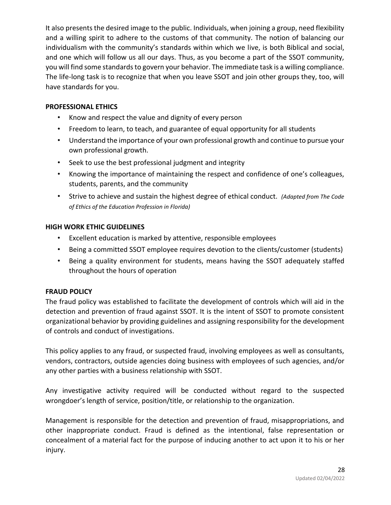It also presents the desired image to the public. Individuals, when joining a group, need flexibility and a willing spirit to adhere to the customs of that community. The notion of balancing our individualism with the community's standards within which we live, is both Biblical and social, and one which will follow us all our days. Thus, as you become a part of the SSOT community, you will find some standards to govern your behavior. The immediate task is a willing compliance. The life-long task is to recognize that when you leave SSOT and join other groups they, too, will have standards for you.

# **PROFESSIONAL ETHICS**

- Know and respect the value and dignity of every person
- Freedom to learn, to teach, and guarantee of equal opportunity for all students
- Understand the importance of your own professional growth and continue to pursue your own professional growth.
- Seek to use the best professional judgment and integrity
- Knowing the importance of maintaining the respect and confidence of one's colleagues, students, parents, and the community
- Strive to achieve and sustain the highest degree of ethical conduct. *(Adapted from The Code of Ethics of the Education Profession in Florida)*

# **HIGH WORK ETHIC GUIDELINES**

- Excellent education is marked by attentive, responsible employees
- Being a committed SSOT employee requires devotion to the clients/customer (students)
- Being a quality environment for students, means having the SSOT adequately staffed throughout the hours of operation

# **FRAUD POLICY**

The fraud policy was established to facilitate the development of controls which will aid in the detection and prevention of fraud against SSOT. It is the intent of SSOT to promote consistent organizational behavior by providing guidelines and assigning responsibility for the development of controls and conduct of investigations.

This policy applies to any fraud, or suspected fraud, involving employees as well as consultants, vendors, contractors, outside agencies doing business with employees of such agencies, and/or any other parties with a business relationship with SSOT.

Any investigative activity required will be conducted without regard to the suspected wrongdoer's length of service, position/title, or relationship to the organization.

Management is responsible for the detection and prevention of fraud, misappropriations, and other inappropriate conduct. Fraud is defined as the intentional, false representation or concealment of a material fact for the purpose of inducing another to act upon it to his or her injury.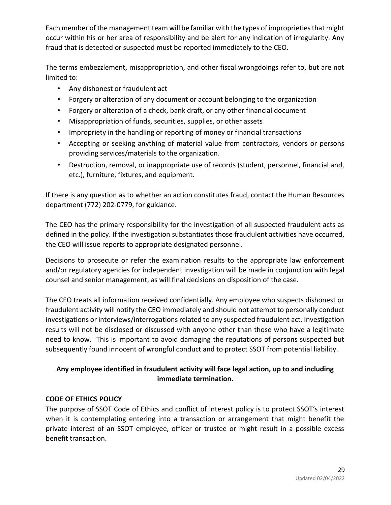Each member of the management team will be familiar with the types of improprieties that might occur within his or her area of responsibility and be alert for any indication of irregularity. Any fraud that is detected or suspected must be reported immediately to the CEO.

The terms embezzlement, misappropriation, and other fiscal wrongdoings refer to, but are not limited to:

- Any dishonest or fraudulent act
- Forgery or alteration of any document or account belonging to the organization
- Forgery or alteration of a check, bank draft, or any other financial document
- Misappropriation of funds, securities, supplies, or other assets
- Impropriety in the handling or reporting of money or financial transactions
- Accepting or seeking anything of material value from contractors, vendors or persons providing services/materials to the organization.
- Destruction, removal, or inappropriate use of records (student, personnel, financial and, etc.), furniture, fixtures, and equipment.

If there is any question as to whether an action constitutes fraud, contact the Human Resources department (772) 202-0779, for guidance.

The CEO has the primary responsibility for the investigation of all suspected fraudulent acts as defined in the policy. If the investigation substantiates those fraudulent activities have occurred, the CEO will issue reports to appropriate designated personnel.

Decisions to prosecute or refer the examination results to the appropriate law enforcement and/or regulatory agencies for independent investigation will be made in conjunction with legal counsel and senior management, as will final decisions on disposition of the case.

The CEO treats all information received confidentially. Any employee who suspects dishonest or fraudulent activity will notify the CEO immediately and should not attempt to personally conduct investigations or interviews/interrogations related to any suspected fraudulent act. Investigation results will not be disclosed or discussed with anyone other than those who have a legitimate need to know. This is important to avoid damaging the reputations of persons suspected but subsequently found innocent of wrongful conduct and to protect SSOT from potential liability.

# **Any employee identified in fraudulent activity will face legal action, up to and including immediate termination.**

# **CODE OF ETHICS POLICY**

The purpose of SSOT Code of Ethics and conflict of interest policy is to protect SSOT's interest when it is contemplating entering into a transaction or arrangement that might benefit the private interest of an SSOT employee, officer or trustee or might result in a possible excess benefit transaction.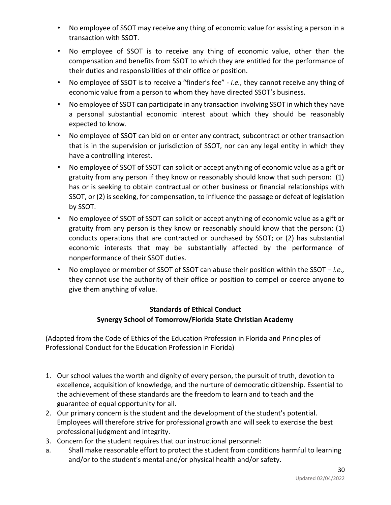- No employee of SSOT may receive any thing of economic value for assisting a person in a transaction with SSOT.
- No employee of SSOT is to receive any thing of economic value, other than the compensation and benefits from SSOT to which they are entitled for the performance of their duties and responsibilities of their office or position.
- No employee of SSOT is to receive a "finder's fee" *i.e.,* they cannot receive any thing of economic value from a person to whom they have directed SSOT's business.
- No employee of SSOT can participate in any transaction involving SSOT in which they have a personal substantial economic interest about which they should be reasonably expected to know.
- No employee of SSOT can bid on or enter any contract, subcontract or other transaction that is in the supervision or jurisdiction of SSOT, nor can any legal entity in which they have a controlling interest.
- No employee of SSOT of SSOT can solicit or accept anything of economic value as a gift or gratuity from any person if they know or reasonably should know that such person: (1) has or is seeking to obtain contractual or other business or financial relationships with SSOT, or (2) is seeking, for compensation, to influence the passage or defeat of legislation by SSOT.
- No employee of SSOT of SSOT can solicit or accept anything of economic value as a gift or gratuity from any person is they know or reasonably should know that the person: (1) conducts operations that are contracted or purchased by SSOT; or (2) has substantial economic interests that may be substantially affected by the performance of nonperformance of their SSOT duties.
- No employee or member of SSOT of SSOT can abuse their position within the SSOT *i.e.,* they cannot use the authority of their office or position to compel or coerce anyone to give them anything of value.

# **Standards of Ethical Conduct Synergy School of Tomorrow/Florida State Christian Academy**

(Adapted from the Code of Ethics of the Education Profession in Florida and Principles of Professional Conduct for the Education Profession in Florida)

- 1. Our school values the worth and dignity of every person, the pursuit of truth, devotion to excellence, acquisition of knowledge, and the nurture of democratic citizenship. Essential to the achievement of these standards are the freedom to learn and to teach and the guarantee of equal opportunity for all.
- 2. Our primary concern is the student and the development of the student's potential. Employees will therefore strive for professional growth and will seek to exercise the best professional judgment and integrity.
- 3. Concern for the student requires that our instructional personnel:
- a. Shall make reasonable effort to protect the student from conditions harmful to learning and/or to the student's mental and/or physical health and/or safety.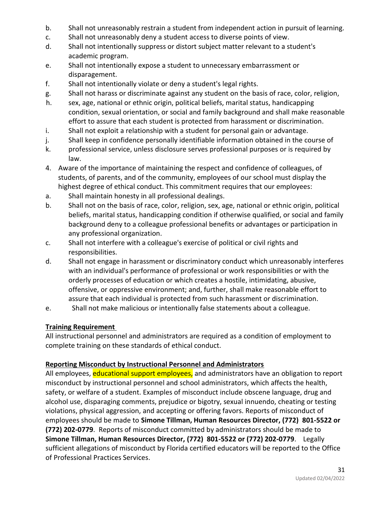- b. Shall not unreasonably restrain a student from independent action in pursuit of learning.
- c. Shall not unreasonably deny a student access to diverse points of view.
- d. Shall not intentionally suppress or distort subject matter relevant to a student's academic program.
- e. Shall not intentionally expose a student to unnecessary embarrassment or disparagement.
- f. Shall not intentionally violate or deny a student's legal rights.
- g. Shall not harass or discriminate against any student on the basis of race, color, religion,
- h. sex, age, national or ethnic origin, political beliefs, marital status, handicapping condition, sexual orientation, or social and family background and shall make reasonable effort to assure that each student is protected from harassment or discrimination.
- i. Shall not exploit a relationship with a student for personal gain or advantage.
- j. Shall keep in confidence personally identifiable information obtained in the course of
- k. professional service, unless disclosure serves professional purposes or is required by law.
- 4. Aware of the importance of maintaining the respect and confidence of colleagues, of students, of parents, and of the community, employees of our school must display the highest degree of ethical conduct. This commitment requires that our employees:
- a. Shall maintain honesty in all professional dealings.
- b. Shall not on the basis of race, color, religion, sex, age, national or ethnic origin, political beliefs, marital status, handicapping condition if otherwise qualified, or social and family background deny to a colleague professional benefits or advantages or participation in any professional organization.
- c. Shall not interfere with a colleague's exercise of political or civil rights and responsibilities.
- d. Shall not engage in harassment or discriminatory conduct which unreasonably interferes with an individual's performance of professional or work responsibilities or with the orderly processes of education or which creates a hostile, intimidating, abusive, offensive, or oppressive environment; and, further, shall make reasonable effort to assure that each individual is protected from such harassment or discrimination.
- e. Shall not make malicious or intentionally false statements about a colleague.

# **Training Requirement**

All instructional personnel and administrators are required as a condition of employment to complete training on these standards of ethical conduct.

# **Reporting Misconduct by Instructional Personnel and Administrators**

All employees, educational support employees, and administrators have an obligation to report misconduct by instructional personnel and school administrators, which affects the health, safety, or welfare of a student. Examples of misconduct include obscene language, drug and alcohol use, disparaging comments, prejudice or bigotry, sexual innuendo, cheating or testing violations, physical aggression, and accepting or offering favors. Reports of misconduct of employees should be made to **Simone Tillman, Human Resources Director, (772) 801-5522 or (772) 202-0779**. Reports of misconduct committed by administrators should be made to **Simone Tillman, Human Resources Director, (772) 801-5522 or (772) 202-0779**. Legally sufficient allegations of misconduct by Florida certified educators will be reported to the Office of Professional Practices Services.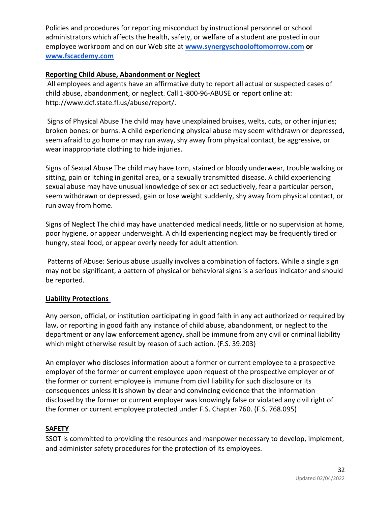Policies and procedures for reporting misconduct by instructional personnel or school administrators which affects the health, safety, or welfare of a student are posted in our employee workroom and on our Web site at **[www.synergyschooloftomorrow.com](http://www.synergyschooloftomorrow.com/) or [www.fscacdemy.com](http://www.fscacdemy.com/)**

# **Reporting Child Abuse, Abandonment or Neglect**

All employees and agents have an affirmative duty to report all actual or suspected cases of child abuse, abandonment, or neglect. Call 1-800-96-ABUSE or report online at: http://www.dcf.state.fl.us/abuse/report/.

Signs of Physical Abuse The child may have unexplained bruises, welts, cuts, or other injuries; broken bones; or burns. A child experiencing physical abuse may seem withdrawn or depressed, seem afraid to go home or may run away, shy away from physical contact, be aggressive, or wear inappropriate clothing to hide injuries.

Signs of Sexual Abuse The child may have torn, stained or bloody underwear, trouble walking or sitting, pain or itching in genital area, or a sexually transmitted disease. A child experiencing sexual abuse may have unusual knowledge of sex or act seductively, fear a particular person, seem withdrawn or depressed, gain or lose weight suddenly, shy away from physical contact, or run away from home.

Signs of Neglect The child may have unattended medical needs, little or no supervision at home, poor hygiene, or appear underweight. A child experiencing neglect may be frequently tired or hungry, steal food, or appear overly needy for adult attention.

Patterns of Abuse: Serious abuse usually involves a combination of factors. While a single sign may not be significant, a pattern of physical or behavioral signs is a serious indicator and should be reported.

# **Liability Protections**

Any person, official, or institution participating in good faith in any act authorized or required by law, or reporting in good faith any instance of child abuse, abandonment, or neglect to the department or any law enforcement agency, shall be immune from any civil or criminal liability which might otherwise result by reason of such action. (F.S. 39.203)

An employer who discloses information about a former or current employee to a prospective employer of the former or current employee upon request of the prospective employer or of the former or current employee is immune from civil liability for such disclosure or its consequences unless it is shown by clear and convincing evidence that the information disclosed by the former or current employer was knowingly false or violated any civil right of the former or current employee protected under F.S. Chapter 760. (F.S. 768.095)

# **SAFETY**

SSOT is committed to providing the resources and manpower necessary to develop, implement, and administer safety procedures for the protection of its employees.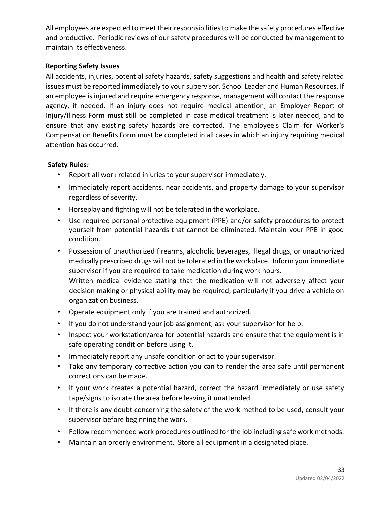All employees are expected to meet their responsibilities to make the safety procedures effective and productive. Periodic reviews of our safety procedures will be conducted by management to maintain its effectiveness.

# **Reporting Safety Issues**

All accidents, injuries, potential safety hazards, safety suggestions and health and safety related issues must be reported immediately to your supervisor, School Leader and Human Resources. If an employee is injured and require emergency response, management will contact the response agency, if needed. If an injury does not require medical attention, an Employer Report of Injury/Illness Form must still be completed in case medical treatment is later needed, and to ensure that any existing safety hazards are corrected. The employee's Claim for Worker's Compensation Benefits Form must be completed in all cases in which an injury requiring medical attention has occurred.

# **Safety Rules***:*

- Report all work related injuries to your supervisor immediately.
- Immediately report accidents, near accidents, and property damage to your supervisor regardless of severity.
- Horseplay and fighting will not be tolerated in the workplace.
- Use required personal protective equipment (PPE) and/or safety procedures to protect yourself from potential hazards that cannot be eliminated. Maintain your PPE in good condition.
- Possession of unauthorized firearms, alcoholic beverages, illegal drugs, or unauthorized medically prescribed drugs will not be tolerated in the workplace. Inform your immediate supervisor if you are required to take medication during work hours. Written medical evidence stating that the medication will not adversely affect your

decision making or physical ability may be required, particularly if you drive a vehicle on organization business.

- Operate equipment only if you are trained and authorized.
- If you do not understand your job assignment, ask your supervisor for help.
- Inspect your workstation/area for potential hazards and ensure that the equipment is in safe operating condition before using it.
- Immediately report any unsafe condition or act to your supervisor.
- Take any temporary corrective action you can to render the area safe until permanent corrections can be made.
- If your work creates a potential hazard, correct the hazard immediately or use safety tape/signs to isolate the area before leaving it unattended.
- If there is any doubt concerning the safety of the work method to be used, consult your supervisor before beginning the work.
- Follow recommended work procedures outlined for the job including safe work methods.
- Maintain an orderly environment. Store all equipment in a designated place.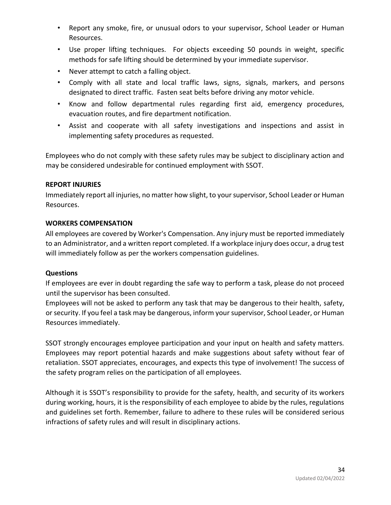- Report any smoke, fire, or unusual odors to your supervisor, School Leader or Human Resources.
- Use proper lifting techniques. For objects exceeding 50 pounds in weight, specific methods for safe lifting should be determined by your immediate supervisor.
- Never attempt to catch a falling object.
- Comply with all state and local traffic laws, signs, signals, markers, and persons designated to direct traffic. Fasten seat belts before driving any motor vehicle.
- Know and follow departmental rules regarding first aid, emergency procedures, evacuation routes, and fire department notification.
- Assist and cooperate with all safety investigations and inspections and assist in implementing safety procedures as requested.

Employees who do not comply with these safety rules may be subject to disciplinary action and may be considered undesirable for continued employment with SSOT.

#### **REPORT INJURIES**

Immediately report all injuries, no matter how slight, to your supervisor, School Leader or Human Resources.

#### **WORKERS COMPENSATION**

All employees are covered by Worker's Compensation. Any injury must be reported immediately to an Administrator, and a written report completed. If a workplace injury does occur, a drug test will immediately follow as per the workers compensation guidelines.

# **Questions**

If employees are ever in doubt regarding the safe way to perform a task, please do not proceed until the supervisor has been consulted.

Employees will not be asked to perform any task that may be dangerous to their health, safety, or security. If you feel a task may be dangerous, inform your supervisor, School Leader, or Human Resources immediately.

SSOT strongly encourages employee participation and your input on health and safety matters. Employees may report potential hazards and make suggestions about safety without fear of retaliation. SSOT appreciates, encourages, and expects this type of involvement! The success of the safety program relies on the participation of all employees.

Although it is SSOT's responsibility to provide for the safety, health, and security of its workers during working, hours, it is the responsibility of each employee to abide by the rules, regulations and guidelines set forth. Remember, failure to adhere to these rules will be considered serious infractions of safety rules and will result in disciplinary actions.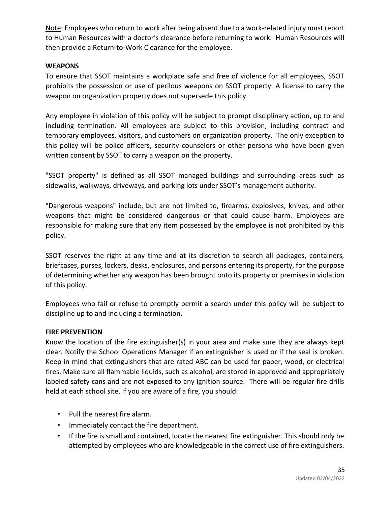Note: Employees who return to work after being absent due to a work-related injury must report to Human Resources with a doctor's clearance before returning to work. Human Resources will then provide a Return-to-Work Clearance for the employee.

#### **WEAPONS**

To ensure that SSOT maintains a workplace safe and free of violence for all employees, SSOT prohibits the possession or use of perilous weapons on SSOT property. A license to carry the weapon on organization property does not supersede this policy.

Any employee in violation of this policy will be subject to prompt disciplinary action, up to and including termination. All employees are subject to this provision, including contract and temporary employees, visitors, and customers on organization property. The only exception to this policy will be police officers, security counselors or other persons who have been given written consent by SSOT to carry a weapon on the property.

"SSOT property" is defined as all SSOT managed buildings and surrounding areas such as sidewalks, walkways, driveways, and parking lots under SSOT's management authority.

"Dangerous weapons" include, but are not limited to, firearms, explosives, knives, and other weapons that might be considered dangerous or that could cause harm. Employees are responsible for making sure that any item possessed by the employee is not prohibited by this policy.

SSOT reserves the right at any time and at its discretion to search all packages, containers, briefcases, purses, lockers, desks, enclosures, and persons entering its property, for the purpose of determining whether any weapon has been brought onto its property or premises in violation of this policy.

Employees who fail or refuse to promptly permit a search under this policy will be subject to discipline up to and including a termination.

# **FIRE PREVENTION**

Know the location of the fire extinguisher(s) in your area and make sure they are always kept clear. Notify the School Operations Manager if an extinguisher is used or if the seal is broken. Keep in mind that extinguishers that are rated ABC can be used for paper, wood, or electrical fires. Make sure all flammable liquids, such as alcohol, are stored in approved and appropriately labeled safety cans and are not exposed to any ignition source. There will be regular fire drills held at each school site. If you are aware of a fire, you should:

- Pull the nearest fire alarm.
- Immediately contact the fire department.
- If the fire is small and contained, locate the nearest fire extinguisher. This should only be attempted by employees who are knowledgeable in the correct use of fire extinguishers.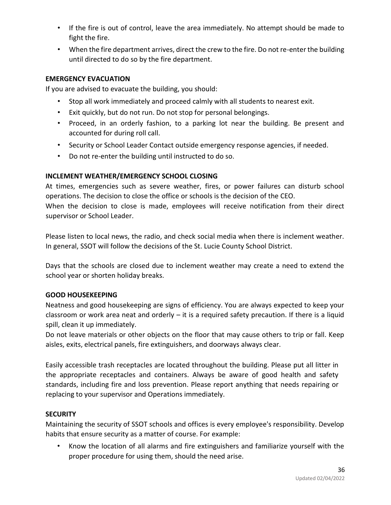- If the fire is out of control, leave the area immediately. No attempt should be made to fight the fire.
- When the fire department arrives, direct the crew to the fire. Do not re-enter the building until directed to do so by the fire department.

# **EMERGENCY EVACUATION**

If you are advised to evacuate the building, you should:

- Stop all work immediately and proceed calmly with all students to nearest exit.
- Exit quickly, but do not run. Do not stop for personal belongings.
- Proceed, in an orderly fashion, to a parking lot near the building. Be present and accounted for during roll call.
- Security or School Leader Contact outside emergency response agencies, if needed.
- Do not re-enter the building until instructed to do so.

# **INCLEMENT WEATHER/EMERGENCY SCHOOL CLOSING**

At times, emergencies such as severe weather, fires, or power failures can disturb school operations. The decision to close the office or schools is the decision of the CEO. When the decision to close is made, employees will receive notification from their direct

supervisor or School Leader.

Please listen to local news, the radio, and check social media when there is inclement weather. In general, SSOT will follow the decisions of the St. Lucie County School District.

Days that the schools are closed due to inclement weather may create a need to extend the school year or shorten holiday breaks.

# **GOOD HOUSEKEEPING**

Neatness and good housekeeping are signs of efficiency. You are always expected to keep your classroom or work area neat and orderly – it is a required safety precaution. If there is a liquid spill, clean it up immediately.

Do not leave materials or other objects on the floor that may cause others to trip or fall. Keep aisles, exits, electrical panels, fire extinguishers, and doorways always clear.

Easily accessible trash receptacles are located throughout the building. Please put all litter in the appropriate receptacles and containers. Always be aware of good health and safety standards, including fire and loss prevention. Please report anything that needs repairing or replacing to your supervisor and Operations immediately.

# **SECURITY**

Maintaining the security of SSOT schools and offices is every employee's responsibility. Develop habits that ensure security as a matter of course. For example:

• Know the location of all alarms and fire extinguishers and familiarize yourself with the proper procedure for using them, should the need arise.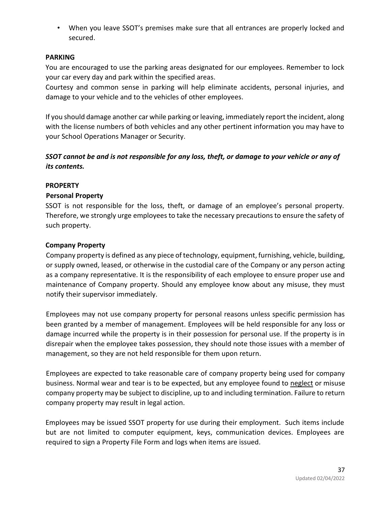• When you leave SSOT's premises make sure that all entrances are properly locked and secured.

#### **PARKING**

You are encouraged to use the parking areas designated for our employees. Remember to lock your car every day and park within the specified areas.

Courtesy and common sense in parking will help eliminate accidents, personal injuries, and damage to your vehicle and to the vehicles of other employees.

If you should damage another car while parking or leaving, immediately report the incident, along with the license numbers of both vehicles and any other pertinent information you may have to your School Operations Manager or Security.

# *SSOT cannot be and is not responsible for any loss, theft, or damage to your vehicle or any of its contents.*

# **PROPERTY**

#### **Personal Property**

SSOT is not responsible for the loss, theft, or damage of an employee's personal property. Therefore, we strongly urge employees to take the necessary precautions to ensure the safety of such property.

#### **Company Property**

Company property is defined as any piece of technology, equipment, furnishing, vehicle, building, or supply owned, leased, or otherwise in the custodial care of the Company or any person acting as a company representative. It is the responsibility of each employee to ensure proper use and maintenance of Company property. Should any employee know about any misuse, they must notify their supervisor immediately.

Employees may not use company property for personal reasons unless specific permission has been granted by a member of management. Employees will be held responsible for any loss or damage incurred while the property is in their possession for personal use. If the property is in disrepair when the employee takes possession, they should note those issues with a member of management, so they are not held responsible for them upon return.

Employees are expected to take reasonable care of company property being used for company business. Normal wear and tear is to be expected, but any employee found to neglect or misuse company property may be subject to discipline, up to and including termination. Failure to return company property may result in legal action.

Employees may be issued SSOT property for use during their employment. Such items include but are not limited to computer equipment, keys, communication devices. Employees are required to sign a Property File Form and logs when items are issued.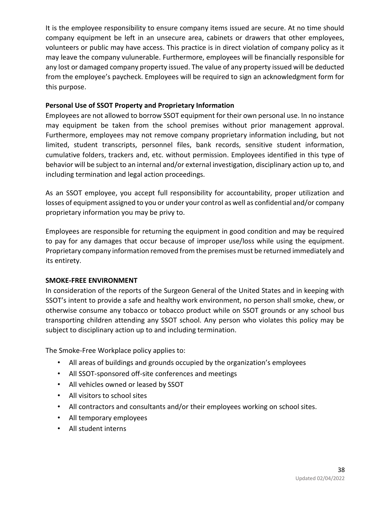It is the employee responsibility to ensure company items issued are secure. At no time should company equipment be left in an unsecure area, cabinets or drawers that other employees, volunteers or public may have access. This practice is in direct violation of company policy as it may leave the company vulunerable. Furthermore, employees will be financially responsible for any lost or damaged company property issued. The value of any property issued will be deducted from the employee's paycheck. Employees will be required to sign an acknowledgment form for this purpose.

# **Personal Use of SSOT Property and Proprietary Information**

Employees are not allowed to borrow SSOT equipment for their own personal use. In no instance may equipment be taken from the school premises without prior management approval. Furthermore, employees may not remove company proprietary information including, but not limited, student transcripts, personnel files, bank records, sensitive student information, cumulative folders, trackers and, etc. without permission. Employees identified in this type of behavior will be subject to an internal and/or external investigation, disciplinary action up to, and including termination and legal action proceedings.

As an SSOT employee, you accept full responsibility for accountability, proper utilization and losses of equipment assigned to you or under your control as well as confidential and/or company proprietary information you may be privy to.

Employees are responsible for returning the equipment in good condition and may be required to pay for any damages that occur because of improper use/loss while using the equipment. Proprietary company information removed from the premises must be returned immediately and its entirety.

# **SMOKE-FREE ENVIRONMENT**

In consideration of the reports of the Surgeon General of the United States and in keeping with SSOT's intent to provide a safe and healthy work environment, no person shall smoke, chew, or otherwise consume any tobacco or tobacco product while on SSOT grounds or any school bus transporting children attending any SSOT school. Any person who violates this policy may be subject to disciplinary action up to and including termination.

The Smoke-Free Workplace policy applies to:

- All areas of buildings and grounds occupied by the organization's employees
- All SSOT-sponsored off-site conferences and meetings
- All vehicles owned or leased by SSOT
- All visitors to school sites
- All contractors and consultants and/or their employees working on school sites.
- All temporary employees
- All student interns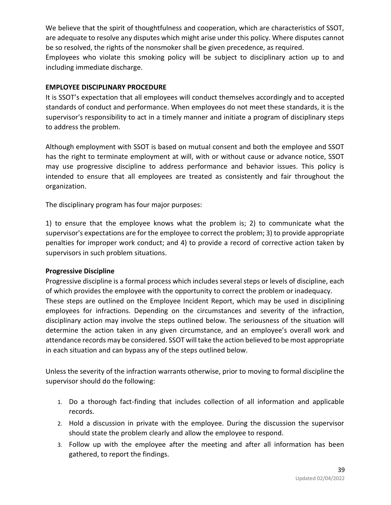We believe that the spirit of thoughtfulness and cooperation, which are characteristics of SSOT, are adequate to resolve any disputes which might arise under this policy. Where disputes cannot be so resolved, the rights of the nonsmoker shall be given precedence, as required. Employees who violate this smoking policy will be subject to disciplinary action up to and including immediate discharge.

#### **EMPLOYEE DISCIPLINARY PROCEDURE**

It is SSOT's expectation that all employees will conduct themselves accordingly and to accepted standards of conduct and performance. When employees do not meet these standards, it is the supervisor's responsibility to act in a timely manner and initiate a program of disciplinary steps to address the problem.

Although employment with SSOT is based on mutual consent and both the employee and SSOT has the right to terminate employment at will, with or without cause or advance notice, SSOT may use progressive discipline to address performance and behavior issues. This policy is intended to ensure that all employees are treated as consistently and fair throughout the organization.

The disciplinary program has four major purposes:

1) to ensure that the employee knows what the problem is; 2) to communicate what the supervisor's expectations are for the employee to correct the problem; 3) to provide appropriate penalties for improper work conduct; and 4) to provide a record of corrective action taken by supervisors in such problem situations.

#### **Progressive Discipline**

Progressive discipline is a formal process which includes several steps or levels of discipline, each of which provides the employee with the opportunity to correct the problem or inadequacy. These steps are outlined on the Employee Incident Report, which may be used in disciplining employees for infractions. Depending on the circumstances and severity of the infraction, disciplinary action may involve the steps outlined below. The seriousness of the situation will determine the action taken in any given circumstance, and an employee's overall work and attendance records may be considered. SSOT will take the action believed to be most appropriate in each situation and can bypass any of the steps outlined below.

Unless the severity of the infraction warrants otherwise, prior to moving to formal discipline the supervisor should do the following:

- 1. Do a thorough fact-finding that includes collection of all information and applicable records.
- 2. Hold a discussion in private with the employee. During the discussion the supervisor should state the problem clearly and allow the employee to respond.
- 3. Follow up with the employee after the meeting and after all information has been gathered, to report the findings.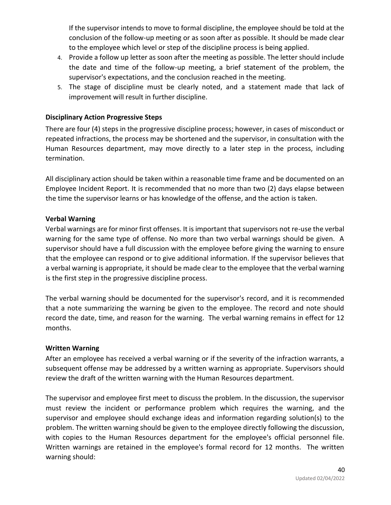If the supervisor intends to move to formal discipline, the employee should be told at the conclusion of the follow-up meeting or as soon after as possible. It should be made clear to the employee which level or step of the discipline process is being applied.

- 4. Provide a follow up letter as soon after the meeting as possible. The letter should include the date and time of the follow-up meeting, a brief statement of the problem, the supervisor's expectations, and the conclusion reached in the meeting.
- 5. The stage of discipline must be clearly noted, and a statement made that lack of improvement will result in further discipline.

# **Disciplinary Action Progressive Steps**

There are four (4) steps in the progressive discipline process; however, in cases of misconduct or repeated infractions, the process may be shortened and the supervisor, in consultation with the Human Resources department, may move directly to a later step in the process, including termination.

All disciplinary action should be taken within a reasonable time frame and be documented on an Employee Incident Report. It is recommended that no more than two (2) days elapse between the time the supervisor learns or has knowledge of the offense, and the action is taken.

# **Verbal Warning**

Verbal warnings are for minor first offenses. It is important that supervisors not re-use the verbal warning for the same type of offense. No more than two verbal warnings should be given. A supervisor should have a full discussion with the employee before giving the warning to ensure that the employee can respond or to give additional information. If the supervisor believes that a verbal warning is appropriate, it should be made clear to the employee that the verbal warning is the first step in the progressive discipline process.

The verbal warning should be documented for the supervisor's record, and it is recommended that a note summarizing the warning be given to the employee. The record and note should record the date, time, and reason for the warning. The verbal warning remains in effect for 12 months.

# **Written Warning**

After an employee has received a verbal warning or if the severity of the infraction warrants, a subsequent offense may be addressed by a written warning as appropriate. Supervisors should review the draft of the written warning with the Human Resources department.

The supervisor and employee first meet to discuss the problem. In the discussion, the supervisor must review the incident or performance problem which requires the warning, and the supervisor and employee should exchange ideas and information regarding solution(s) to the problem. The written warning should be given to the employee directly following the discussion, with copies to the Human Resources department for the employee's official personnel file. Written warnings are retained in the employee's formal record for 12 months. The written warning should: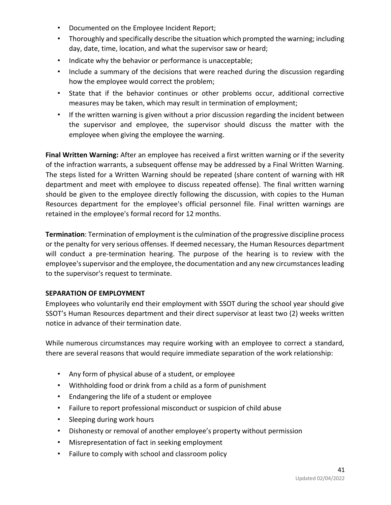- Documented on the Employee Incident Report;
- Thoroughly and specifically describe the situation which prompted the warning; including day, date, time, location, and what the supervisor saw or heard;
- Indicate why the behavior or performance is unacceptable;
- Include a summary of the decisions that were reached during the discussion regarding how the employee would correct the problem;
- State that if the behavior continues or other problems occur, additional corrective measures may be taken, which may result in termination of employment;
- If the written warning is given without a prior discussion regarding the incident between the supervisor and employee, the supervisor should discuss the matter with the employee when giving the employee the warning.

**Final Written Warning:** After an employee has received a first written warning or if the severity of the infraction warrants, a subsequent offense may be addressed by a Final Written Warning. The steps listed for a Written Warning should be repeated (share content of warning with HR department and meet with employee to discuss repeated offense). The final written warning should be given to the employee directly following the discussion, with copies to the Human Resources department for the employee's official personnel file. Final written warnings are retained in the employee's formal record for 12 months.

**Termination**: Termination of employment is the culmination of the progressive discipline process or the penalty for very serious offenses. If deemed necessary, the Human Resources department will conduct a pre-termination hearing. The purpose of the hearing is to review with the employee's supervisor and the employee, the documentation and any new circumstances leading to the supervisor's request to terminate.

# **SEPARATION OF EMPLOYMENT**

Employees who voluntarily end their employment with SSOT during the school year should give SSOT's Human Resources department and their direct supervisor at least two (2) weeks written notice in advance of their termination date.

While numerous circumstances may require working with an employee to correct a standard, there are several reasons that would require immediate separation of the work relationship:

- Any form of physical abuse of a student, or employee
- Withholding food or drink from a child as a form of punishment
- Endangering the life of a student or employee
- Failure to report professional misconduct or suspicion of child abuse
- Sleeping during work hours
- Dishonesty or removal of another employee's property without permission
- Misrepresentation of fact in seeking employment
- Failure to comply with school and classroom policy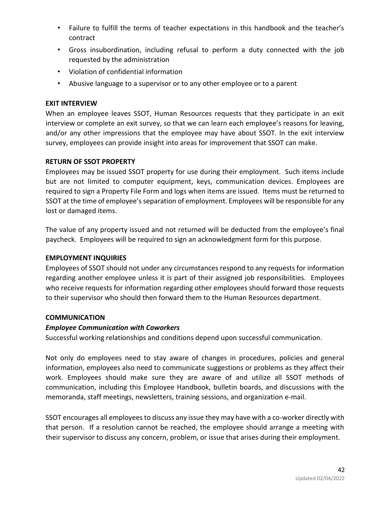- Failure to fulfill the terms of teacher expectations in this handbook and the teacher's contract
- Gross insubordination, including refusal to perform a duty connected with the job requested by the administration
- Violation of confidential information
- Abusive language to a supervisor or to any other employee or to a parent

# **EXIT INTERVIEW**

When an employee leaves SSOT, Human Resources requests that they participate in an exit interview or complete an exit survey, so that we can learn each employee's reasons for leaving, and/or any other impressions that the employee may have about SSOT. In the exit interview survey, employees can provide insight into areas for improvement that SSOT can make.

# **RETURN OF SSOT PROPERTY**

Employees may be issued SSOT property for use during their employment. Such items include but are not limited to computer equipment, keys, communication devices. Employees are required to sign a Property File Form and logs when items are issued. Items must be returned to SSOT at the time of employee's separation of employment. Employees will be responsible for any lost or damaged items.

The value of any property issued and not returned will be deducted from the employee's final paycheck. Employees will be required to sign an acknowledgment form for this purpose.

# **EMPLOYMENT INQUIRIES**

Employees of SSOT should not under any circumstances respond to any requests for information regarding another employee unless it is part of their assigned job responsibilities. Employees who receive requests for information regarding other employees should forward those requests to their supervisor who should then forward them to the Human Resources department.

# **COMMUNICATION**

# *Employee Communication with Coworkers*

Successful working relationships and conditions depend upon successful communication.

Not only do employees need to stay aware of changes in procedures, policies and general information, employees also need to communicate suggestions or problems as they affect their work. Employees should make sure they are aware of and utilize all SSOT methods of communication, including this Employee Handbook, bulletin boards, and discussions with the memoranda, staff meetings, newsletters, training sessions, and organization e-mail.

SSOT encourages all employees to discuss any issue they may have with a co-worker directly with that person. If a resolution cannot be reached, the employee should arrange a meeting with their supervisor to discuss any concern, problem, or issue that arises during their employment.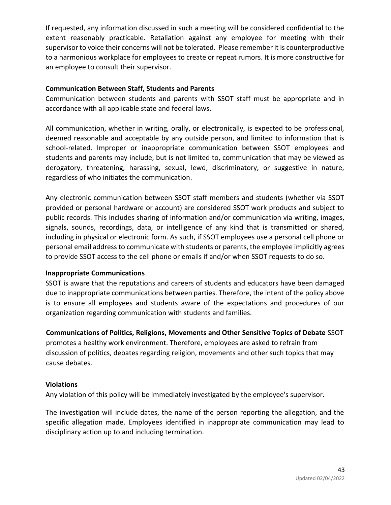If requested, any information discussed in such a meeting will be considered confidential to the extent reasonably practicable. Retaliation against any employee for meeting with their supervisor to voice their concerns will not be tolerated. Please remember it is counterproductive to a harmonious workplace for employees to create or repeat rumors. It is more constructive for an employee to consult their supervisor.

# **Communication Between Staff, Students and Parents**

Communication between students and parents with SSOT staff must be appropriate and in accordance with all applicable state and federal laws.

All communication, whether in writing, orally, or electronically, is expected to be professional, deemed reasonable and acceptable by any outside person, and limited to information that is school-related. Improper or inappropriate communication between SSOT employees and students and parents may include, but is not limited to, communication that may be viewed as derogatory, threatening, harassing, sexual, lewd, discriminatory, or suggestive in nature, regardless of who initiates the communication.

Any electronic communication between SSOT staff members and students (whether via SSOT provided or personal hardware or account) are considered SSOT work products and subject to public records. This includes sharing of information and/or communication via writing, images, signals, sounds, recordings, data, or intelligence of any kind that is transmitted or shared, including in physical or electronic form. As such, if SSOT employees use a personal cell phone or personal email address to communicate with students or parents, the employee implicitly agrees to provide SSOT access to the cell phone or emails if and/or when SSOT requests to do so.

# **Inappropriate Communications**

SSOT is aware that the reputations and careers of students and educators have been damaged due to inappropriate communications between parties. Therefore, the intent of the policy above is to ensure all employees and students aware of the expectations and procedures of our organization regarding communication with students and families.

**Communications of Politics, Religions, Movements and Other Sensitive Topics of Debate** SSOT promotes a healthy work environment. Therefore, employees are asked to refrain from discussion of politics, debates regarding religion, movements and other such topics that may cause debates.

# **Violations**

Any violation of this policy will be immediately investigated by the employee's supervisor.

The investigation will include dates, the name of the person reporting the allegation, and the specific allegation made. Employees identified in inappropriate communication may lead to disciplinary action up to and including termination.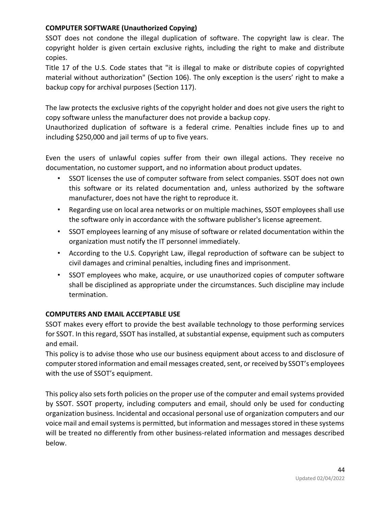# **COMPUTER SOFTWARE (Unauthorized Copying)**

SSOT does not condone the illegal duplication of software. The copyright law is clear. The copyright holder is given certain exclusive rights, including the right to make and distribute copies.

Title 17 of the U.S. Code states that "it is illegal to make or distribute copies of copyrighted material without authorization" (Section 106). The only exception is the users' right to make a backup copy for archival purposes (Section 117).

The law protects the exclusive rights of the copyright holder and does not give users the right to copy software unless the manufacturer does not provide a backup copy.

Unauthorized duplication of software is a federal crime. Penalties include fines up to and including \$250,000 and jail terms of up to five years.

Even the users of unlawful copies suffer from their own illegal actions. They receive no documentation, no customer support, and no information about product updates.

- SSOT licenses the use of computer software from select companies. SSOT does not own this software or its related documentation and, unless authorized by the software manufacturer, does not have the right to reproduce it.
- Regarding use on local area networks or on multiple machines, SSOT employees shall use the software only in accordance with the software publisher's license agreement.
- SSOT employees learning of any misuse of software or related documentation within the organization must notify the IT personnel immediately.
- According to the U.S. Copyright Law, illegal reproduction of software can be subject to civil damages and criminal penalties, including fines and imprisonment.
- SSOT employees who make, acquire, or use unauthorized copies of computer software shall be disciplined as appropriate under the circumstances. Such discipline may include termination.

# **COMPUTERS AND EMAIL ACCEPTABLE USE**

SSOT makes every effort to provide the best available technology to those performing services for SSOT. In this regard, SSOT has installed, at substantial expense, equipment such as computers and email.

This policy is to advise those who use our business equipment about access to and disclosure of computer stored information and email messages created, sent, or received by SSOT's employees with the use of SSOT's equipment.

This policy also sets forth policies on the proper use of the computer and email systems provided by SSOT. SSOT property, including computers and email, should only be used for conducting organization business. Incidental and occasional personal use of organization computers and our voice mail and email systems is permitted, but information and messages stored in these systems will be treated no differently from other business-related information and messages described below.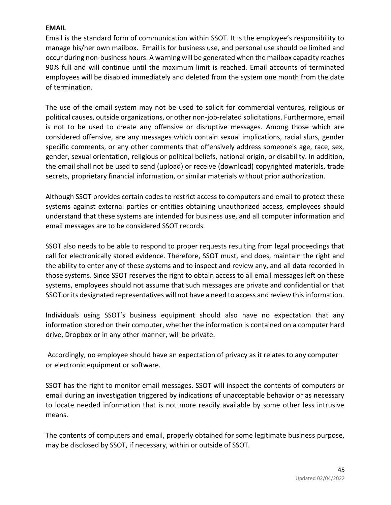#### **EMAIL**

Email is the standard form of communication within SSOT. It is the employee's responsibility to manage his/her own mailbox. Email is for business use, and personal use should be limited and occur during non-business hours. A warning will be generated when the mailbox capacity reaches 90% full and will continue until the maximum limit is reached. Email accounts of terminated employees will be disabled immediately and deleted from the system one month from the date of termination.

The use of the email system may not be used to solicit for commercial ventures, religious or political causes, outside organizations, or other non-job-related solicitations. Furthermore, email is not to be used to create any offensive or disruptive messages. Among those which are considered offensive, are any messages which contain sexual implications, racial slurs, gender specific comments, or any other comments that offensively address someone's age, race, sex, gender, sexual orientation, religious or political beliefs, national origin, or disability. In addition, the email shall not be used to send (upload) or receive (download) copyrighted materials, trade secrets, proprietary financial information, or similar materials without prior authorization.

Although SSOT provides certain codes to restrict access to computers and email to protect these systems against external parties or entities obtaining unauthorized access, employees should understand that these systems are intended for business use, and all computer information and email messages are to be considered SSOT records.

SSOT also needs to be able to respond to proper requests resulting from legal proceedings that call for electronically stored evidence. Therefore, SSOT must, and does, maintain the right and the ability to enter any of these systems and to inspect and review any, and all data recorded in those systems. Since SSOT reserves the right to obtain access to all email messages left on these systems, employees should not assume that such messages are private and confidential or that SSOT or its designated representatives will not have a need to access and review this information.

Individuals using SSOT's business equipment should also have no expectation that any information stored on their computer, whether the information is contained on a computer hard drive, Dropbox or in any other manner, will be private.

Accordingly, no employee should have an expectation of privacy as it relates to any computer or electronic equipment or software.

SSOT has the right to monitor email messages. SSOT will inspect the contents of computers or email during an investigation triggered by indications of unacceptable behavior or as necessary to locate needed information that is not more readily available by some other less intrusive means.

The contents of computers and email, properly obtained for some legitimate business purpose, may be disclosed by SSOT, if necessary, within or outside of SSOT.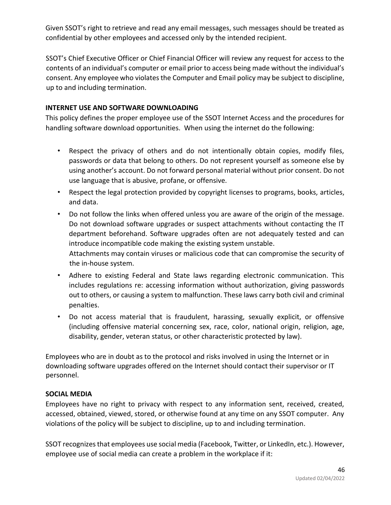Given SSOT's right to retrieve and read any email messages, such messages should be treated as confidential by other employees and accessed only by the intended recipient.

SSOT's Chief Executive Officer or Chief Financial Officer will review any request for access to the contents of an individual's computer or email prior to access being made without the individual's consent. Any employee who violates the Computer and Email policy may be subject to discipline, up to and including termination.

# **INTERNET USE AND SOFTWARE DOWNLOADING**

This policy defines the proper employee use of the SSOT Internet Access and the procedures for handling software download opportunities. When using the internet do the following:

- Respect the privacy of others and do not intentionally obtain copies, modify files, passwords or data that belong to others. Do not represent yourself as someone else by using another's account. Do not forward personal material without prior consent. Do not use language that is abusive, profane, or offensive.
- Respect the legal protection provided by copyright licenses to programs, books, articles, and data.
- Do not follow the links when offered unless you are aware of the origin of the message. Do not download software upgrades or suspect attachments without contacting the IT department beforehand. Software upgrades often are not adequately tested and can introduce incompatible code making the existing system unstable. Attachments may contain viruses or malicious code that can compromise the security of the in-house system.
- Adhere to existing Federal and State laws regarding electronic communication. This includes regulations re: accessing information without authorization, giving passwords out to others, or causing a system to malfunction. These laws carry both civil and criminal penalties.
- Do not access material that is fraudulent, harassing, sexually explicit, or offensive (including offensive material concerning sex, race, color, national origin, religion, age, disability, gender, veteran status, or other characteristic protected by law).

Employees who are in doubt as to the protocol and risks involved in using the Internet or in downloading software upgrades offered on the Internet should contact their supervisor or IT personnel.

# **SOCIAL MEDIA**

Employees have no right to privacy with respect to any information sent, received, created, accessed, obtained, viewed, stored, or otherwise found at any time on any SSOT computer. Any violations of the policy will be subject to discipline, up to and including termination.

SSOT recognizes that employees use social media (Facebook, Twitter, or LinkedIn, etc.). However, employee use of social media can create a problem in the workplace if it: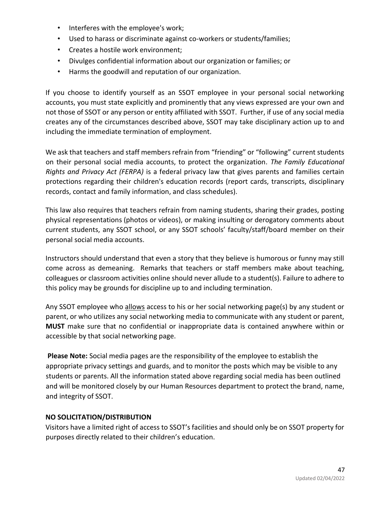- Interferes with the employee's work;
- Used to harass or discriminate against co-workers or students/families;
- Creates a hostile work environment;
- Divulges confidential information about our organization or families; or
- Harms the goodwill and reputation of our organization.

If you choose to identify yourself as an SSOT employee in your personal social networking accounts, you must state explicitly and prominently that any views expressed are your own and not those of SSOT or any person or entity affiliated with SSOT. Further, if use of any social media creates any of the circumstances described above, SSOT may take disciplinary action up to and including the immediate termination of employment.

We ask that teachers and staff members refrain from "friending" or "following" current students on their personal social media accounts, to protect the organization. *The Family Educational Rights and Privacy Act (FERPA)* is a federal privacy law that gives parents and families certain protections regarding their children's education records (report cards, transcripts, disciplinary records, contact and family information, and class schedules).

This law also requires that teachers refrain from naming students, sharing their grades, posting physical representations (photos or videos), or making insulting or derogatory comments about current students, any SSOT school, or any SSOT schools' faculty/staff/board member on their personal social media accounts.

Instructors should understand that even a story that they believe is humorous or funny may still come across as demeaning. Remarks that teachers or staff members make about teaching, colleagues or classroom activities online should never allude to a student(s). Failure to adhere to this policy may be grounds for discipline up to and including termination.

Any SSOT employee who allows access to his or her social networking page(s) by any student or parent, or who utilizes any social networking media to communicate with any student or parent, **MUST** make sure that no confidential or inappropriate data is contained anywhere within or accessible by that social networking page.

**Please Note:** Social media pages are the responsibility of the employee to establish the appropriate privacy settings and guards, and to monitor the posts which may be visible to any students or parents. All the information stated above regarding social media has been outlined and will be monitored closely by our Human Resources department to protect the brand, name, and integrity of SSOT.

# **NO SOLICITATION/DISTRIBUTION**

Visitors have a limited right of access to SSOT's facilities and should only be on SSOT property for purposes directly related to their children's education.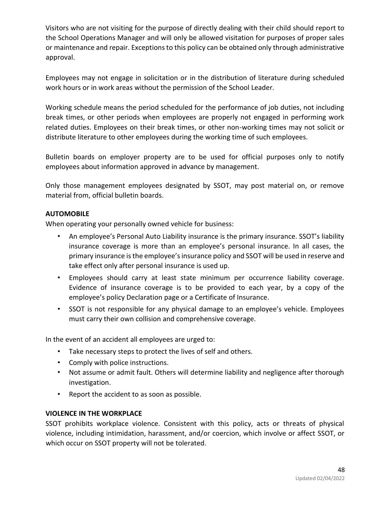Visitors who are not visiting for the purpose of directly dealing with their child should report to the School Operations Manager and will only be allowed visitation for purposes of proper sales or maintenance and repair. Exceptions to this policy can be obtained only through administrative approval.

Employees may not engage in solicitation or in the distribution of literature during scheduled work hours or in work areas without the permission of the School Leader.

Working schedule means the period scheduled for the performance of job duties, not including break times, or other periods when employees are properly not engaged in performing work related duties. Employees on their break times, or other non-working times may not solicit or distribute literature to other employees during the working time of such employees.

Bulletin boards on employer property are to be used for official purposes only to notify employees about information approved in advance by management.

Only those management employees designated by SSOT, may post material on, or remove material from, official bulletin boards.

# **AUTOMOBILE**

When operating your personally owned vehicle for business:

- An employee's Personal Auto Liability insurance is the primary insurance. SSOT's liability insurance coverage is more than an employee's personal insurance. In all cases, the primary insurance is the employee's insurance policy and SSOT will be used in reserve and take effect only after personal insurance is used up.
- Employees should carry at least state minimum per occurrence liability coverage. Evidence of insurance coverage is to be provided to each year, by a copy of the employee's policy Declaration page or a Certificate of Insurance.
- SSOT is not responsible for any physical damage to an employee's vehicle. Employees must carry their own collision and comprehensive coverage.

In the event of an accident all employees are urged to:

- Take necessary steps to protect the lives of self and others.
- Comply with police instructions.
- Not assume or admit fault. Others will determine liability and negligence after thorough investigation.
- Report the accident to as soon as possible.

# **VIOLENCE IN THE WORKPLACE**

SSOT prohibits workplace violence. Consistent with this policy, acts or threats of physical violence, including intimidation, harassment, and/or coercion, which involve or affect SSOT, or which occur on SSOT property will not be tolerated.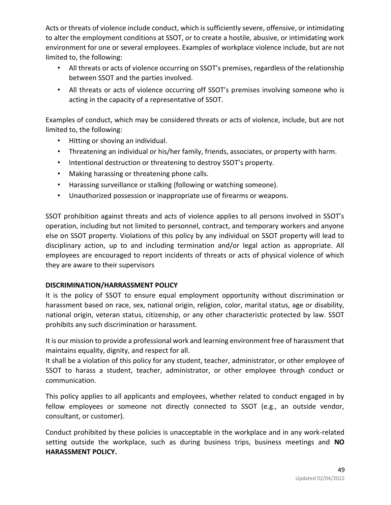Acts or threats of violence include conduct, which is sufficiently severe, offensive, or intimidating to alter the employment conditions at SSOT, or to create a hostile, abusive, or intimidating work environment for one or several employees. Examples of workplace violence include, but are not limited to, the following:

- All threats or acts of violence occurring on SSOT's premises, regardless of the relationship between SSOT and the parties involved.
- All threats or acts of violence occurring off SSOT's premises involving someone who is acting in the capacity of a representative of SSOT.

Examples of conduct, which may be considered threats or acts of violence, include, but are not limited to, the following:

- Hitting or shoving an individual.
- Threatening an individual or his/her family, friends, associates, or property with harm.
- Intentional destruction or threatening to destroy SSOT's property.
- Making harassing or threatening phone calls.
- Harassing surveillance or stalking (following or watching someone).
- Unauthorized possession or inappropriate use of firearms or weapons.

SSOT prohibition against threats and acts of violence applies to all persons involved in SSOT's operation, including but not limited to personnel, contract, and temporary workers and anyone else on SSOT property. Violations of this policy by any individual on SSOT property will lead to disciplinary action, up to and including termination and/or legal action as appropriate. All employees are encouraged to report incidents of threats or acts of physical violence of which they are aware to their supervisors

# **DISCRIMINATION/HARRASSMENT POLICY**

It is the policy of SSOT to ensure equal employment opportunity without discrimination or harassment based on race, sex, national origin, religion, color, marital status, age or disability, national origin, veteran status, citizenship, or any other characteristic protected by law. SSOT prohibits any such discrimination or harassment.

It is our mission to provide a professional work and learning environment free of harassment that maintains equality, dignity, and respect for all.

It shall be a violation of this policy for any student, teacher, administrator, or other employee of SSOT to harass a student, teacher, administrator, or other employee through conduct or communication.

This policy applies to all applicants and employees, whether related to conduct engaged in by fellow employees or someone not directly connected to SSOT (e.g., an outside vendor, consultant, or customer).

Conduct prohibited by these policies is unacceptable in the workplace and in any work-related setting outside the workplace, such as during business trips, business meetings and **NO HARASSMENT POLICY.**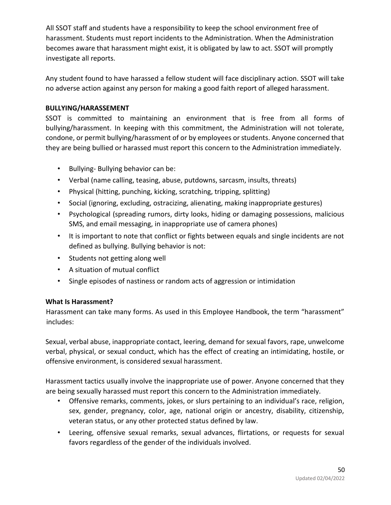All SSOT staff and students have a responsibility to keep the school environment free of harassment. Students must report incidents to the Administration. When the Administration becomes aware that harassment might exist, it is obligated by law to act. SSOT will promptly investigate all reports.

Any student found to have harassed a fellow student will face disciplinary action. SSOT will take no adverse action against any person for making a good faith report of alleged harassment.

# **BULLYING/HARASSEMENT**

SSOT is committed to maintaining an environment that is free from all forms of bullying/harassment. In keeping with this commitment, the Administration will not tolerate, condone, or permit bullying/harassment of or by employees or students. Anyone concerned that they are being bullied or harassed must report this concern to the Administration immediately.

- Bullying- Bullying behavior can be:
- Verbal (name calling, teasing, abuse, putdowns, sarcasm, insults, threats)
- Physical (hitting, punching, kicking, scratching, tripping, splitting)
- Social (ignoring, excluding, ostracizing, alienating, making inappropriate gestures)
- Psychological (spreading rumors, dirty looks, hiding or damaging possessions, malicious SMS, and email messaging, in inappropriate use of camera phones)
- It is important to note that conflict or fights between equals and single incidents are not defined as bullying. Bullying behavior is not:
- Students not getting along well
- A situation of mutual conflict
- Single episodes of nastiness or random acts of aggression or intimidation

# **What Is Harassment?**

Harassment can take many forms. As used in this Employee Handbook, the term "harassment" includes:

Sexual, verbal abuse, inappropriate contact, leering, demand for sexual favors, rape, unwelcome verbal, physical, or sexual conduct, which has the effect of creating an intimidating, hostile, or offensive environment, is considered sexual harassment.

Harassment tactics usually involve the inappropriate use of power. Anyone concerned that they are being sexually harassed must report this concern to the Administration immediately.

- Offensive remarks, comments, jokes, or slurs pertaining to an individual's race, religion, sex, gender, pregnancy, color, age, national origin or ancestry, disability, citizenship, veteran status, or any other protected status defined by law.
- Leering, offensive sexual remarks, sexual advances, flirtations, or requests for sexual favors regardless of the gender of the individuals involved.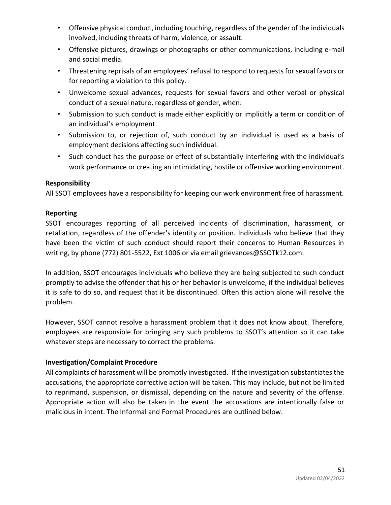- Offensive physical conduct, including touching, regardless of the gender of the individuals involved, including threats of harm, violence, or assault.
- Offensive pictures, drawings or photographs or other communications, including e-mail and social media.
- Threatening reprisals of an employees' refusal to respond to requests for sexual favors or for reporting a violation to this policy.
- Unwelcome sexual advances, requests for sexual favors and other verbal or physical conduct of a sexual nature, regardless of gender, when:
- Submission to such conduct is made either explicitly or implicitly a term or condition of an individual's employment.
- Submission to, or rejection of, such conduct by an individual is used as a basis of employment decisions affecting such individual.
- Such conduct has the purpose or effect of substantially interfering with the individual's work performance or creating an intimidating, hostile or offensive working environment.

# **Responsibility**

All SSOT employees have a responsibility for keeping our work environment free of harassment.

# **Reporting**

SSOT encourages reporting of all perceived incidents of discrimination, harassment, or retaliation, regardless of the offender's identity or position. Individuals who believe that they have been the victim of such conduct should report their concerns to Human Resources in writing, by phone (772) 801-5522, Ext 1006 or via email grievances@SSOTk12.com.

In addition, SSOT encourages individuals who believe they are being subjected to such conduct promptly to advise the offender that his or her behavior is unwelcome, if the individual believes it is safe to do so, and request that it be discontinued. Often this action alone will resolve the problem.

However, SSOT cannot resolve a harassment problem that it does not know about. Therefore, employees are responsible for bringing any such problems to SSOT's attention so it can take whatever steps are necessary to correct the problems.

# **Investigation/Complaint Procedure**

All complaints of harassment will be promptly investigated. If the investigation substantiates the accusations, the appropriate corrective action will be taken. This may include, but not be limited to reprimand, suspension, or dismissal, depending on the nature and severity of the offense. Appropriate action will also be taken in the event the accusations are intentionally false or malicious in intent. The Informal and Formal Procedures are outlined below.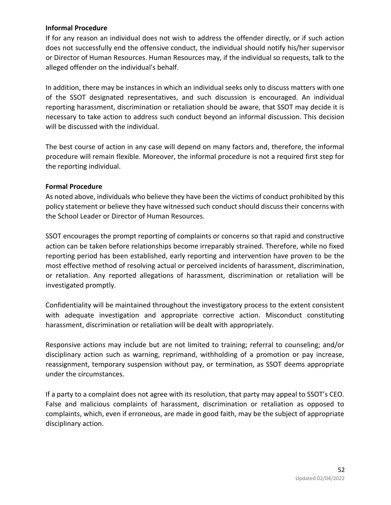#### **Informal Procedure**

If for any reason an individual does not wish to address the offender directly, or if such action does not successfully end the offensive conduct, the individual should notify his/her supervisor or Director of Human Resources. Human Resources may, if the individual so requests, talk to the alleged offender on the individual's behalf.

In addition, there may be instances in which an individual seeks only to discuss matters with one of the SSOT designated representatives, and such discussion is encouraged. An individual reporting harassment, discrimination or retaliation should be aware, that SSOT may decide it is necessary to take action to address such conduct beyond an informal discussion. This decision will be discussed with the individual.

The best course of action in any case will depend on many factors and, therefore, the informal procedure will remain flexible. Moreover, the informal procedure is not a required first step for the reporting individual.

#### **Formal Procedure**

As noted above, individuals who believe they have been the victims of conduct prohibited by this policy statement or believe they have witnessed such conduct should discuss their concerns with the School Leader or Director of Human Resources.

SSOT encourages the prompt reporting of complaints or concerns so that rapid and constructive action can be taken before relationships become irreparably strained. Therefore, while no fixed reporting period has been established, early reporting and intervention have proven to be the most effective method of resolving actual or perceived incidents of harassment, discrimination, or retaliation. Any reported allegations of harassment, discrimination or retaliation will be investigated promptly.

Confidentiality will be maintained throughout the investigatory process to the extent consistent with adequate investigation and appropriate corrective action. Misconduct constituting harassment, discrimination or retaliation will be dealt with appropriately.

Responsive actions may include but are not limited to training; referral to counseling; and/or disciplinary action such as warning, reprimand, withholding of a promotion or pay increase, reassignment, temporary suspension without pay, or termination, as SSOT deems appropriate under the circumstances.

If a party to a complaint does not agree with its resolution, that party may appeal to SSOT's CEO. False and malicious complaints of harassment, discrimination or retaliation as opposed to complaints, which, even if erroneous, are made in good faith, may be the subject of appropriate disciplinary action.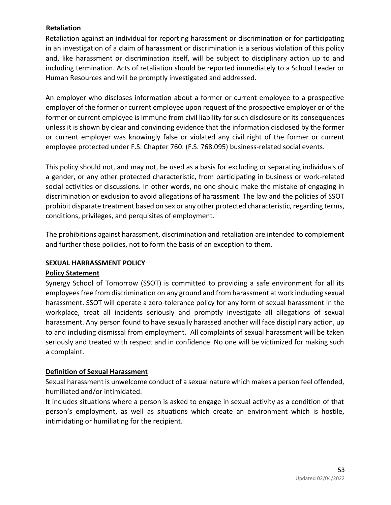# **Retaliation**

Retaliation against an individual for reporting harassment or discrimination or for participating in an investigation of a claim of harassment or discrimination is a serious violation of this policy and, like harassment or discrimination itself, will be subject to disciplinary action up to and including termination. Acts of retaliation should be reported immediately to a School Leader or Human Resources and will be promptly investigated and addressed.

An employer who discloses information about a former or current employee to a prospective employer of the former or current employee upon request of the prospective employer or of the former or current employee is immune from civil liability for such disclosure or its consequences unless it is shown by clear and convincing evidence that the information disclosed by the former or current employer was knowingly false or violated any civil right of the former or current employee protected under F.S. Chapter 760. (F.S. 768.095) business-related social events.

This policy should not, and may not, be used as a basis for excluding or separating individuals of a gender, or any other protected characteristic, from participating in business or work-related social activities or discussions. In other words, no one should make the mistake of engaging in discrimination or exclusion to avoid allegations of harassment. The law and the policies of SSOT prohibit disparate treatment based on sex or any other protected characteristic, regarding terms, conditions, privileges, and perquisites of employment.

The prohibitions against harassment, discrimination and retaliation are intended to complement and further those policies, not to form the basis of an exception to them.

# **SEXUAL HARRASSMENT POLICY**

# **Policy Statement**

Synergy School of Tomorrow (SSOT) is committed to providing a safe environment for all its employees free from discrimination on any ground and from harassment at work including sexual harassment. SSOT will operate a zero-tolerance policy for any form of sexual harassment in the workplace, treat all incidents seriously and promptly investigate all allegations of sexual harassment. Any person found to have sexually harassed another will face disciplinary action, up to and including dismissal from employment. All complaints of sexual harassment will be taken seriously and treated with respect and in confidence. No one will be victimized for making such a complaint.

# **Definition of Sexual Harassment**

Sexual harassment is unwelcome conduct of a sexual nature which makes a person feel offended, humiliated and/or intimidated.

It includes situations where a person is asked to engage in sexual activity as a condition of that person's employment, as well as situations which create an environment which is hostile, intimidating or humiliating for the recipient.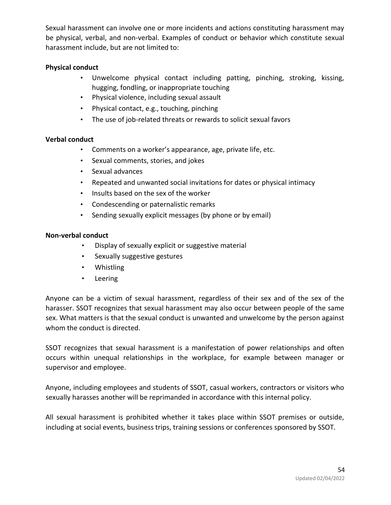Sexual harassment can involve one or more incidents and actions constituting harassment may be physical, verbal, and non-verbal. Examples of conduct or behavior which constitute sexual harassment include, but are not limited to:

#### **Physical conduct**

- Unwelcome physical contact including patting, pinching, stroking, kissing, hugging, fondling, or inappropriate touching
- Physical violence, including sexual assault
- Physical contact, e.g., touching, pinching
- The use of job-related threats or rewards to solicit sexual favors

#### **Verbal conduct**

- Comments on a worker's appearance, age, private life, etc.
- Sexual comments, stories, and jokes
- Sexual advances
- Repeated and unwanted social invitations for dates or physical intimacy
- Insults based on the sex of the worker
- Condescending or paternalistic remarks
- Sending sexually explicit messages (by phone or by email)

#### **Non-verbal conduct**

- Display of sexually explicit or suggestive material
- Sexually suggestive gestures
- Whistling
- Leering

Anyone can be a victim of sexual harassment, regardless of their sex and of the sex of the harasser. SSOT recognizes that sexual harassment may also occur between people of the same sex. What matters is that the sexual conduct is unwanted and unwelcome by the person against whom the conduct is directed.

SSOT recognizes that sexual harassment is a manifestation of power relationships and often occurs within unequal relationships in the workplace, for example between manager or supervisor and employee.

Anyone, including employees and students of SSOT, casual workers, contractors or visitors who sexually harasses another will be reprimanded in accordance with this internal policy.

All sexual harassment is prohibited whether it takes place within SSOT premises or outside, including at social events, business trips, training sessions or conferences sponsored by SSOT.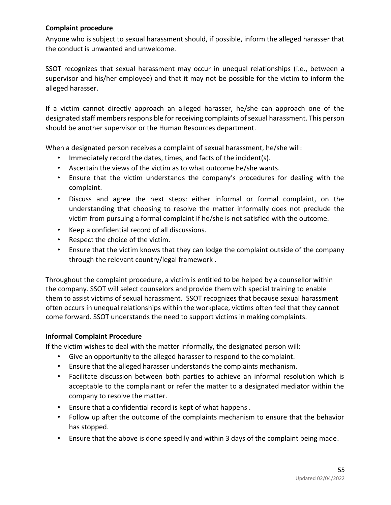# **Complaint procedure**

Anyone who is subject to sexual harassment should, if possible, inform the alleged harasser that the conduct is unwanted and unwelcome.

SSOT recognizes that sexual harassment may occur in unequal relationships (i.e., between a supervisor and his/her employee) and that it may not be possible for the victim to inform the alleged harasser.

If a victim cannot directly approach an alleged harasser, he/she can approach one of the designated staff members responsible for receiving complaints of sexual harassment. This person should be another supervisor or the Human Resources department.

When a designated person receives a complaint of sexual harassment, he/she will:

- Immediately record the dates, times, and facts of the incident(s).
- Ascertain the views of the victim as to what outcome he/she wants.
- Ensure that the victim understands the company's procedures for dealing with the complaint.
- Discuss and agree the next steps: either informal or formal complaint, on the understanding that choosing to resolve the matter informally does not preclude the victim from pursuing a formal complaint if he/she is not satisfied with the outcome.
- Keep a confidential record of all discussions.
- Respect the choice of the victim.
- Ensure that the victim knows that they can lodge the complaint outside of the company through the relevant country/legal framework .

Throughout the complaint procedure, a victim is entitled to be helped by a counsellor within the company. SSOT will select counselors and provide them with special training to enable them to assist victims of sexual harassment. SSOT recognizes that because sexual harassment often occurs in unequal relationships within the workplace, victims often feel that they cannot come forward. SSOT understands the need to support victims in making complaints.

# **Informal Complaint Procedure**

If the victim wishes to deal with the matter informally, the designated person will:

- Give an opportunity to the alleged harasser to respond to the complaint.
- Ensure that the alleged harasser understands the complaints mechanism.
- Facilitate discussion between both parties to achieve an informal resolution which is acceptable to the complainant or refer the matter to a designated mediator within the company to resolve the matter.
- Ensure that a confidential record is kept of what happens .
- Follow up after the outcome of the complaints mechanism to ensure that the behavior has stopped.
- Ensure that the above is done speedily and within 3 days of the complaint being made.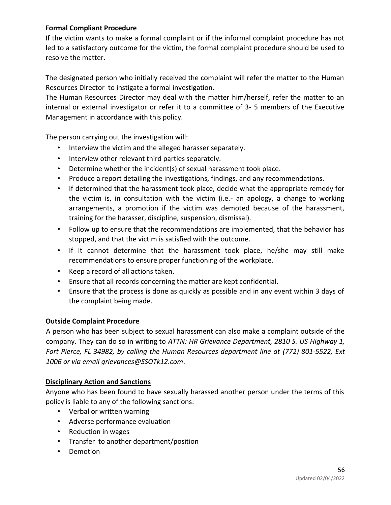# **Formal Compliant Procedure**

If the victim wants to make a formal complaint or if the informal complaint procedure has not led to a satisfactory outcome for the victim, the formal complaint procedure should be used to resolve the matter.

The designated person who initially received the complaint will refer the matter to the Human Resources Director to instigate a formal investigation.

The Human Resources Director may deal with the matter him/herself, refer the matter to an internal or external investigator or refer it to a committee of 3- 5 members of the Executive Management in accordance with this policy.

The person carrying out the investigation will:

- Interview the victim and the alleged harasser separately.
- Interview other relevant third parties separately.
- Determine whether the incident(s) of sexual harassment took place.
- Produce a report detailing the investigations, findings, and any recommendations.
- If determined that the harassment took place, decide what the appropriate remedy for the victim is, in consultation with the victim (i.e.- an apology, a change to working arrangements, a promotion if the victim was demoted because of the harassment, training for the harasser, discipline, suspension, dismissal).
- Follow up to ensure that the recommendations are implemented, that the behavior has stopped, and that the victim is satisfied with the outcome.
- If it cannot determine that the harassment took place, he/she may still make recommendations to ensure proper functioning of the workplace.
- Keep a record of all actions taken.
- Ensure that all records concerning the matter are kept confidential.
- Ensure that the process is done as quickly as possible and in any event within 3 days of the complaint being made.

# **Outside Complaint Procedure**

A person who has been subject to sexual harassment can also make a complaint outside of the company. They can do so in writing to *ATTN: HR Grievance Department, 2810 S. US Highway 1, Fort Pierce, FL 34982, by calling the Human Resources department line at (772) 801-5522, Ext 1006 or via email grievances@SSOTk12.com*.

# **Disciplinary Action and Sanctions**

Anyone who has been found to have sexually harassed another person under the terms of this policy is liable to any of the following sanctions:

- Verbal or written warning
- Adverse performance evaluation
- Reduction in wages
- Transfer to another department/position
- Demotion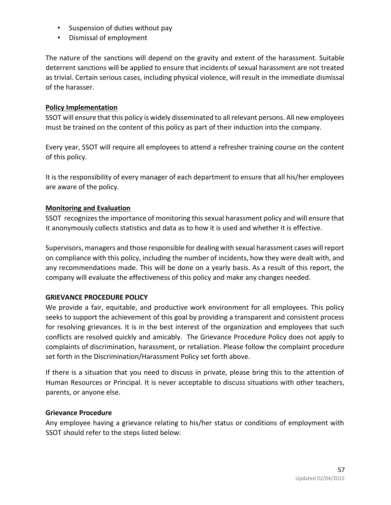- Suspension of duties without pay
- Dismissal of employment

The nature of the sanctions will depend on the gravity and extent of the harassment. Suitable deterrent sanctions will be applied to ensure that incidents of sexual harassment are not treated as trivial. Certain serious cases, including physical violence, will result in the immediate dismissal of the harasser.

#### **Policy Implementation**

SSOT will ensure that this policy is widely disseminated to all relevant persons. All new employees must be trained on the content of this policy as part of their induction into the company.

Every year, SSOT will require all employees to attend a refresher training course on the content of this policy.

It is the responsibility of every manager of each department to ensure that all his/her employees are aware of the policy.

# **Monitoring and Evaluation**

SSOT recognizes the importance of monitoring this sexual harassment policy and will ensure that it anonymously collects statistics and data as to how it is used and whether it is effective.

Supervisors, managers and those responsible for dealing with sexual harassment cases will report on compliance with this policy, including the number of incidents, how they were dealt with, and any recommendations made. This will be done on a yearly basis. As a result of this report, the company will evaluate the effectiveness of this policy and make any changes needed.

# **GRIEVANCE PROCEDURE POLICY**

We provide a fair, equitable, and productive work environment for all employees. This policy seeks to support the achievement of this goal by providing a transparent and consistent process for resolving grievances. It is in the best interest of the organization and employees that such conflicts are resolved quickly and amicably. The Grievance Procedure Policy does not apply to complaints of discrimination, harassment, or retaliation. Please follow the complaint procedure set forth in the Discrimination/Harassment Policy set forth above.

If there is a situation that you need to discuss in private, please bring this to the attention of Human Resources or Principal. It is never acceptable to discuss situations with other teachers, parents, or anyone else.

#### **Grievance Procedure**

Any employee having a grievance relating to his/her status or conditions of employment with SSOT should refer to the steps listed below: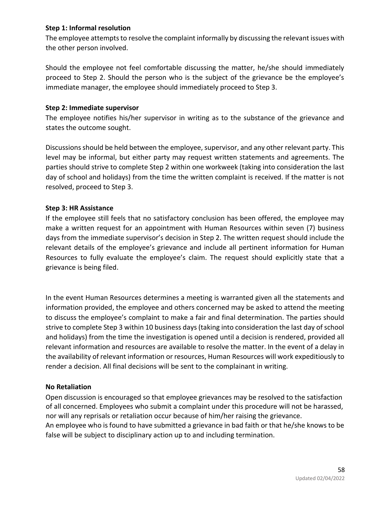#### **Step 1: Informal resolution**

The employee attempts to resolve the complaint informally by discussing the relevant issues with the other person involved.

Should the employee not feel comfortable discussing the matter, he/she should immediately proceed to Step 2. Should the person who is the subject of the grievance be the employee's immediate manager, the employee should immediately proceed to Step 3.

#### **Step 2: Immediate supervisor**

The employee notifies his/her supervisor in writing as to the substance of the grievance and states the outcome sought.

Discussions should be held between the employee, supervisor, and any other relevant party. This level may be informal, but either party may request written statements and agreements. The parties should strive to complete Step 2 within one workweek (taking into consideration the last day of school and holidays) from the time the written complaint is received. If the matter is not resolved, proceed to Step 3.

#### **Step 3: HR Assistance**

If the employee still feels that no satisfactory conclusion has been offered, the employee may make a written request for an appointment with Human Resources within seven (7) business days from the immediate supervisor's decision in Step 2. The written request should include the relevant details of the employee's grievance and include all pertinent information for Human Resources to fully evaluate the employee's claim. The request should explicitly state that a grievance is being filed.

In the event Human Resources determines a meeting is warranted given all the statements and information provided, the employee and others concerned may be asked to attend the meeting to discuss the employee's complaint to make a fair and final determination. The parties should strive to complete Step 3 within 10 business days (taking into consideration the last day of school and holidays) from the time the investigation is opened until a decision is rendered, provided all relevant information and resources are available to resolve the matter. In the event of a delay in the availability of relevant information or resources, Human Resources will work expeditiously to render a decision. All final decisions will be sent to the complainant in writing.

# **No Retaliation**

Open discussion is encouraged so that employee grievances may be resolved to the satisfaction of all concerned. Employees who submit a complaint under this procedure will not be harassed, nor will any reprisals or retaliation occur because of him/her raising the grievance. An employee who is found to have submitted a grievance in bad faith or that he/she knows to be false will be subject to disciplinary action up to and including termination.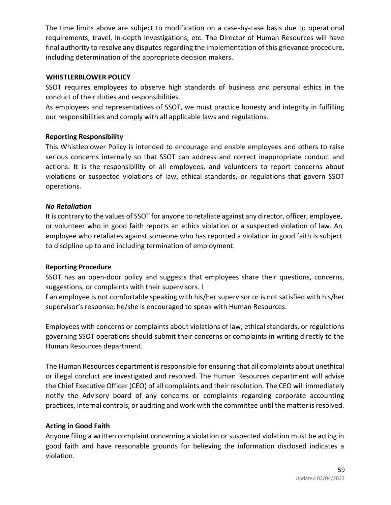The time limits above are subject to modification on a case-by-case basis due to operational requirements, travel, in-depth investigations, etc. The Director of Human Resources will have final authority to resolve any disputes regarding the implementation of this grievance procedure, including determination of the appropriate decision makers.

#### **WHISTLERBLOWER POLICY**

SSOT requires employees to observe high standards of business and personal ethics in the conduct of their duties and responsibilities.

As employees and representatives of SSOT, we must practice honesty and integrity in fulfilling our responsibilities and comply with all applicable laws and regulations.

#### **Reporting Responsibility**

This Whistleblower Policy is intended to encourage and enable employees and others to raise serious concerns internally so that SSOT can address and correct inappropriate conduct and actions. It is the responsibility of all employees, and volunteers to report concerns about violations or suspected violations of law, ethical standards, or regulations that govern SSOT operations.

#### *No Retaliation*

It is contrary to the values of SSOT for anyone to retaliate against any director, officer, employee, or volunteer who in good faith reports an ethics violation or a suspected violation of law. An employee who retaliates against someone who has reported a violation in good faith is subject to discipline up to and including termination of employment.

#### **Reporting Procedure**

SSOT has an open-door policy and suggests that employees share their questions, concerns, suggestions, or complaints with their supervisors. I

f an employee is not comfortable speaking with his/her supervisor or is not satisfied with his/her supervisor's response, he/she is encouraged to speak with Human Resources.

Employees with concerns or complaints about violations of law, ethical standards, or regulations governing SSOT operations should submit their concerns or complaints in writing directly to the Human Resources department.

The Human Resources department is responsible for ensuring that all complaints about unethical or illegal conduct are investigated and resolved. The Human Resources department will advise the Chief Executive Officer (CEO) of all complaints and their resolution. The CEO will immediately notify the Advisory board of any concerns or complaints regarding corporate accounting practices, internal controls, or auditing and work with the committee until the matter is resolved.

# **Acting in Good Faith**

Anyone filing a written complaint concerning a violation or suspected violation must be acting in good faith and have reasonable grounds for believing the information disclosed indicates a violation.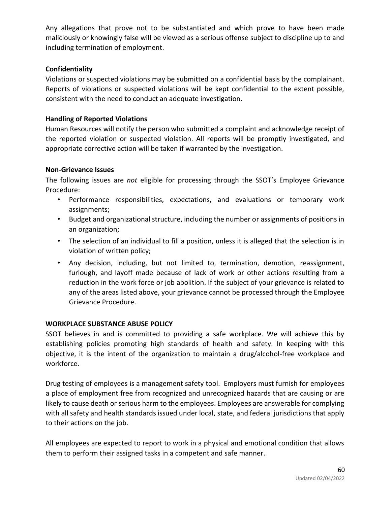Any allegations that prove not to be substantiated and which prove to have been made maliciously or knowingly false will be viewed as a serious offense subject to discipline up to and including termination of employment.

# **Confidentiality**

Violations or suspected violations may be submitted on a confidential basis by the complainant. Reports of violations or suspected violations will be kept confidential to the extent possible, consistent with the need to conduct an adequate investigation.

# **Handling of Reported Violations**

Human Resources will notify the person who submitted a complaint and acknowledge receipt of the reported violation or suspected violation. All reports will be promptly investigated, and appropriate corrective action will be taken if warranted by the investigation.

# **Non-Grievance Issues**

The following issues are *not* eligible for processing through the SSOT's Employee Grievance Procedure:

- Performance responsibilities, expectations, and evaluations or temporary work assignments;
- Budget and organizational structure, including the number or assignments of positions in an organization;
- The selection of an individual to fill a position, unless it is alleged that the selection is in violation of written policy;
- Any decision, including, but not limited to, termination, demotion, reassignment, furlough, and layoff made because of lack of work or other actions resulting from a reduction in the work force or job abolition. If the subject of your grievance is related to any of the areas listed above, your grievance cannot be processed through the Employee Grievance Procedure.

# **WORKPLACE SUBSTANCE ABUSE POLICY**

SSOT believes in and is committed to providing a safe workplace. We will achieve this by establishing policies promoting high standards of health and safety. In keeping with this objective, it is the intent of the organization to maintain a drug/alcohol-free workplace and workforce.

Drug testing of employees is a management safety tool. Employers must furnish for employees a place of employment free from recognized and unrecognized hazards that are causing or are likely to cause death or serious harm to the employees. Employees are answerable for complying with all safety and health standards issued under local, state, and federal jurisdictions that apply to their actions on the job.

All employees are expected to report to work in a physical and emotional condition that allows them to perform their assigned tasks in a competent and safe manner.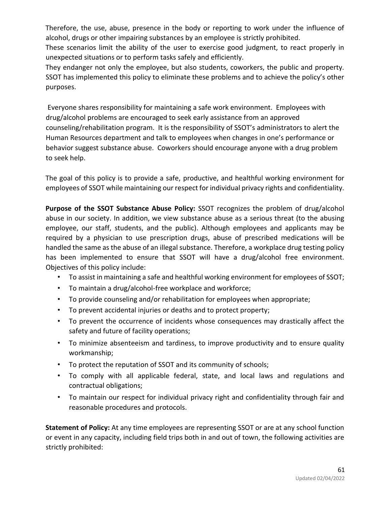Therefore, the use, abuse, presence in the body or reporting to work under the influence of alcohol, drugs or other impairing substances by an employee is strictly prohibited.

These scenarios limit the ability of the user to exercise good judgment, to react properly in unexpected situations or to perform tasks safely and efficiently.

They endanger not only the employee, but also students, coworkers, the public and property. SSOT has implemented this policy to eliminate these problems and to achieve the policy's other purposes.

Everyone shares responsibility for maintaining a safe work environment. Employees with drug/alcohol problems are encouraged to seek early assistance from an approved counseling/rehabilitation program. It is the responsibility of SSOT's administrators to alert the Human Resources department and talk to employees when changes in one's performance or behavior suggest substance abuse. Coworkers should encourage anyone with a drug problem to seek help.

The goal of this policy is to provide a safe, productive, and healthful working environment for employees of SSOT while maintaining our respect for individual privacy rights and confidentiality.

**Purpose of the SSOT Substance Abuse Policy:** SSOT recognizes the problem of drug/alcohol abuse in our society. In addition, we view substance abuse as a serious threat (to the abusing employee, our staff, students, and the public). Although employees and applicants may be required by a physician to use prescription drugs, abuse of prescribed medications will be handled the same as the abuse of an illegal substance. Therefore, a workplace drug testing policy has been implemented to ensure that SSOT will have a drug/alcohol free environment. Objectives of this policy include:

- To assist in maintaining a safe and healthful working environment for employees of SSOT;
- To maintain a drug/alcohol-free workplace and workforce;
- To provide counseling and/or rehabilitation for employees when appropriate;
- To prevent accidental injuries or deaths and to protect property;
- To prevent the occurrence of incidents whose consequences may drastically affect the safety and future of facility operations;
- To minimize absenteeism and tardiness, to improve productivity and to ensure quality workmanship;
- To protect the reputation of SSOT and its community of schools;
- To comply with all applicable federal, state, and local laws and regulations and contractual obligations;
- To maintain our respect for individual privacy right and confidentiality through fair and reasonable procedures and protocols.

**Statement of Policy:** At any time employees are representing SSOT or are at any school function or event in any capacity, including field trips both in and out of town, the following activities are strictly prohibited: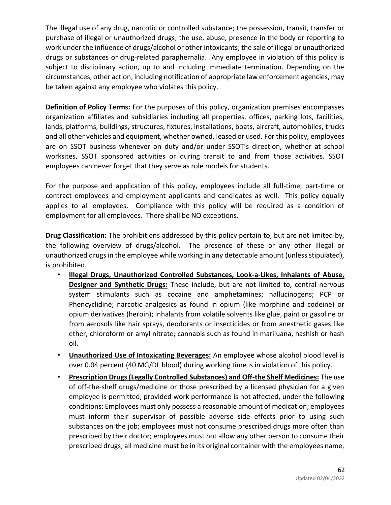The illegal use of any drug, narcotic or controlled substance; the possession, transit, transfer or purchase of illegal or unauthorized drugs; the use, abuse, presence in the body or reporting to work under the influence of drugs/alcohol or other intoxicants; the sale of illegal or unauthorized drugs or substances or drug-related paraphernalia. Any employee in violation of this policy is subject to disciplinary action, up to and including immediate termination. Depending on the circumstances, other action, including notification of appropriate law enforcement agencies, may be taken against any employee who violates this policy.

**Definition of Policy Terms:** For the purposes of this policy, organization premises encompasses organization affiliates and subsidiaries including all properties, offices, parking lots, facilities, lands, platforms, buildings, structures, fixtures, installations, boats, aircraft, automobiles, trucks and all other vehicles and equipment, whether owned, leased or used. For this policy, employees are on SSOT business whenever on duty and/or under SSOT's direction, whether at school worksites, SSOT sponsored activities or during transit to and from those activities. SSOT employees can never forget that they serve as role models for students.

For the purpose and application of this policy, employees include all full-time, part-time or contract employees and employment applicants and candidates as well. This policy equally applies to all employees. Compliance with this policy will be required as a condition of employment for all employees. There shall be NO exceptions.

**Drug Classification:** The prohibitions addressed by this policy pertain to, but are not limited by, the following overview of drugs/alcohol. The presence of these or any other illegal or unauthorized drugs in the employee while working in any detectable amount (unless stipulated), is prohibited.

- **Illegal Drugs, Unauthorized Controlled Substances, Look-a-Likes, Inhalants of Abuse, Designer and Synthetic Drugs:** These include, but are not limited to, central nervous system stimulants such as cocaine and amphetamines; hallucinogens; PCP or Phencyclidine; narcotic analgesics as found in opium (like morphine and codeine) or opium derivatives (heroin); inhalants from volatile solvents like glue, paint or gasoline or from aerosols like hair sprays, deodorants or insecticides or from anesthetic gases like ether, chloroform or amyl nitrate; cannabis such as found in marijuana, hashish or hash oil.
- **Unauthorized Use of Intoxicating Beverages:** An employee whose alcohol blood level is over 0.04 percent (40 MG/DL blood) during working time is in violation of this policy.
- **Prescription Drugs (Legally Controlled Substances) and Off-the Shelf Medicines:** The use of off-the-shelf drugs/medicine or those prescribed by a licensed physician for a given employee is permitted, provided work performance is not affected, under the following conditions: Employees must only possess a reasonable amount of medication; employees must inform their supervisor of possible adverse side effects prior to using such substances on the job; employees must not consume prescribed drugs more often than prescribed by their doctor; employees must not allow any other person to consume their prescribed drugs; all medicine must be in its original container with the employees name,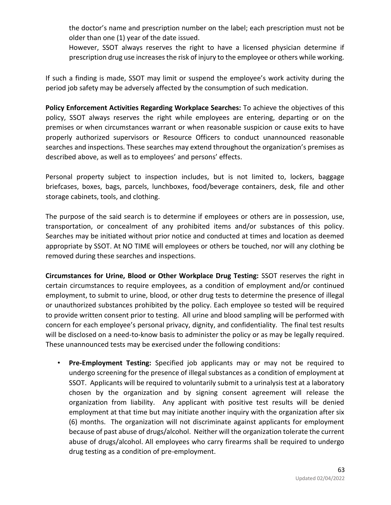the doctor's name and prescription number on the label; each prescription must not be older than one (1) year of the date issued.

However, SSOT always reserves the right to have a licensed physician determine if prescription drug use increases the risk of injury to the employee or others while working.

If such a finding is made, SSOT may limit or suspend the employee's work activity during the period job safety may be adversely affected by the consumption of such medication.

**Policy Enforcement Activities Regarding Workplace Searches:** To achieve the objectives of this policy, SSOT always reserves the right while employees are entering, departing or on the premises or when circumstances warrant or when reasonable suspicion or cause exits to have properly authorized supervisors or Resource Officers to conduct unannounced reasonable searches and inspections. These searches may extend throughout the organization's premises as described above, as well as to employees' and persons' effects.

Personal property subject to inspection includes, but is not limited to, lockers, baggage briefcases, boxes, bags, parcels, lunchboxes, food/beverage containers, desk, file and other storage cabinets, tools, and clothing.

The purpose of the said search is to determine if employees or others are in possession, use, transportation, or concealment of any prohibited items and/or substances of this policy. Searches may be initiated without prior notice and conducted at times and location as deemed appropriate by SSOT. At NO TIME will employees or others be touched, nor will any clothing be removed during these searches and inspections.

**Circumstances for Urine, Blood or Other Workplace Drug Testing:** SSOT reserves the right in certain circumstances to require employees, as a condition of employment and/or continued employment, to submit to urine, blood, or other drug tests to determine the presence of illegal or unauthorized substances prohibited by the policy. Each employee so tested will be required to provide written consent prior to testing. All urine and blood sampling will be performed with concern for each employee's personal privacy, dignity, and confidentiality. The final test results will be disclosed on a need-to-know basis to administer the policy or as may be legally required. These unannounced tests may be exercised under the following conditions:

• **Pre-Employment Testing:** Specified job applicants may or may not be required to undergo screening for the presence of illegal substances as a condition of employment at SSOT. Applicants will be required to voluntarily submit to a urinalysis test at a laboratory chosen by the organization and by signing consent agreement will release the organization from liability. Any applicant with positive test results will be denied employment at that time but may initiate another inquiry with the organization after six (6) months. The organization will not discriminate against applicants for employment because of past abuse of drugs/alcohol. Neither will the organization tolerate the current abuse of drugs/alcohol. All employees who carry firearms shall be required to undergo drug testing as a condition of pre-employment.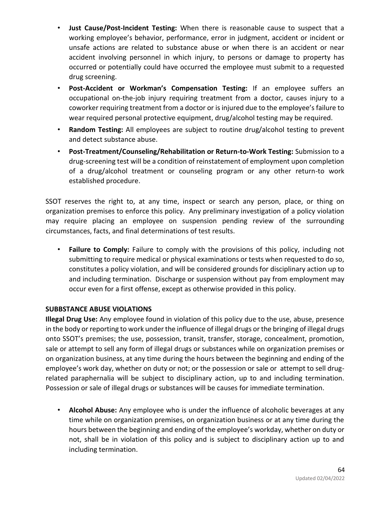- **Just Cause/Post-Incident Testing:** When there is reasonable cause to suspect that a working employee's behavior, performance, error in judgment, accident or incident or unsafe actions are related to substance abuse or when there is an accident or near accident involving personnel in which injury, to persons or damage to property has occurred or potentially could have occurred the employee must submit to a requested drug screening.
- **Post-Accident or Workman's Compensation Testing:** If an employee suffers an occupational on-the-job injury requiring treatment from a doctor, causes injury to a coworker requiring treatment from a doctor or is injured due to the employee's failure to wear required personal protective equipment, drug/alcohol testing may be required.
- **Random Testing:** All employees are subject to routine drug/alcohol testing to prevent and detect substance abuse.
- **Post-Treatment/Counseling/Rehabilitation or Return-to-Work Testing:** Submission to a drug-screening test will be a condition of reinstatement of employment upon completion of a drug/alcohol treatment or counseling program or any other return-to work established procedure.

SSOT reserves the right to, at any time, inspect or search any person, place, or thing on organization premises to enforce this policy. Any preliminary investigation of a policy violation may require placing an employee on suspension pending review of the surrounding circumstances, facts, and final determinations of test results.

• **Failure to Comply:** Failure to comply with the provisions of this policy, including not submitting to require medical or physical examinations or tests when requested to do so, constitutes a policy violation, and will be considered grounds for disciplinary action up to and including termination. Discharge or suspension without pay from employment may occur even for a first offense, except as otherwise provided in this policy.

# **SUBBSTANCE ABUSE VIOLATIONS**

**Illegal Drug Use:** Any employee found in violation of this policy due to the use, abuse, presence in the body or reporting to work under the influence of illegal drugs or the bringing of illegal drugs onto SSOT's premises; the use, possession, transit, transfer, storage, concealment, promotion, sale or attempt to sell any form of illegal drugs or substances while on organization premises or on organization business, at any time during the hours between the beginning and ending of the employee's work day, whether on duty or not; or the possession or sale or attempt to sell drugrelated paraphernalia will be subject to disciplinary action, up to and including termination. Possession or sale of illegal drugs or substances will be causes for immediate termination.

• **Alcohol Abuse:** Any employee who is under the influence of alcoholic beverages at any time while on organization premises, on organization business or at any time during the hours between the beginning and ending of the employee's workday, whether on duty or not, shall be in violation of this policy and is subject to disciplinary action up to and including termination.